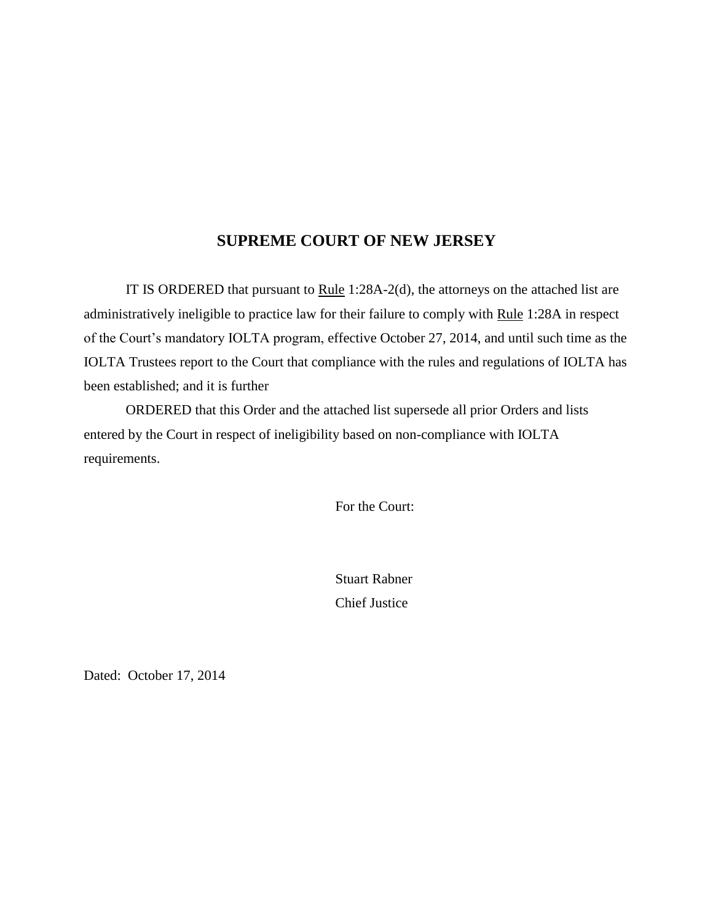## **SUPREME COURT OF NEW JERSEY**

IT IS ORDERED that pursuant to Rule 1:28A-2(d), the attorneys on the attached list are administratively ineligible to practice law for their failure to comply with Rule 1:28A in respect of the Court's mandatory IOLTA program, effective October 27, 2014, and until such time as the IOLTA Trustees report to the Court that compliance with the rules and regulations of IOLTA has been established; and it is further

ORDERED that this Order and the attached list supersede all prior Orders and lists entered by the Court in respect of ineligibility based on non-compliance with IOLTA requirements.

For the Court:

Stuart Rabner Chief Justice

Dated: October 17, 2014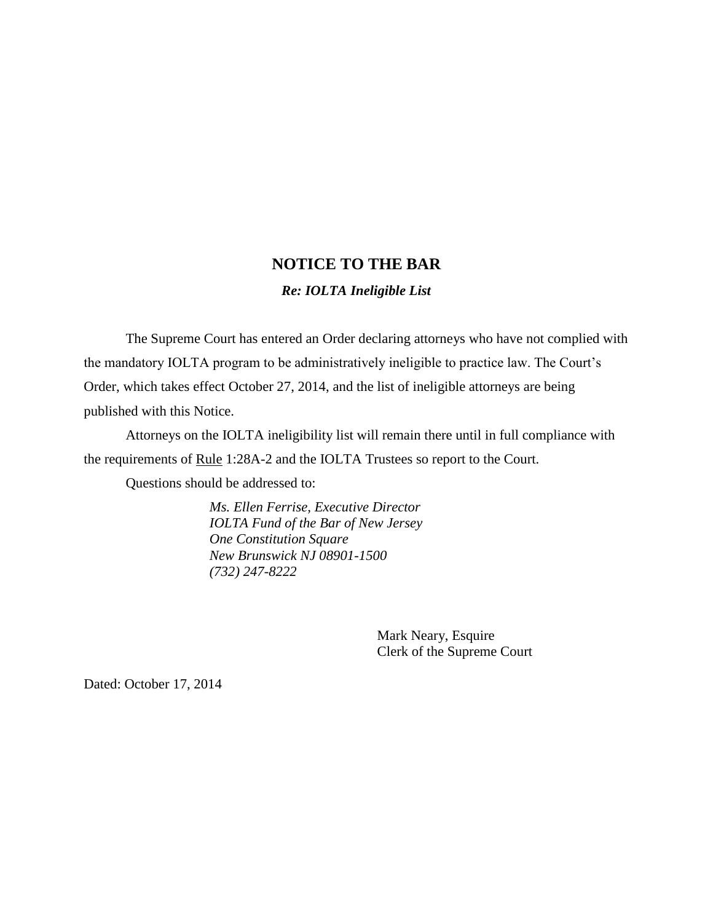# **NOTICE TO THE BAR**

#### *Re: IOLTA Ineligible List*

The Supreme Court has entered an Order declaring attorneys who have not complied with the mandatory IOLTA program to be administratively ineligible to practice law. The Court's Order, which takes effect October 27, 2014, and the list of ineligible attorneys are being published with this Notice.

Attorneys on the IOLTA ineligibility list will remain there until in full compliance with the requirements of Rule 1:28A-2 and the IOLTA Trustees so report to the Court.

Questions should be addressed to:

*Ms. Ellen Ferrise, Executive Director IOLTA Fund of the Bar of New Jersey One Constitution Square New Brunswick NJ 08901-1500 (732) 247-8222*

> Mark Neary, Esquire Clerk of the Supreme Court

Dated: October 17, 2014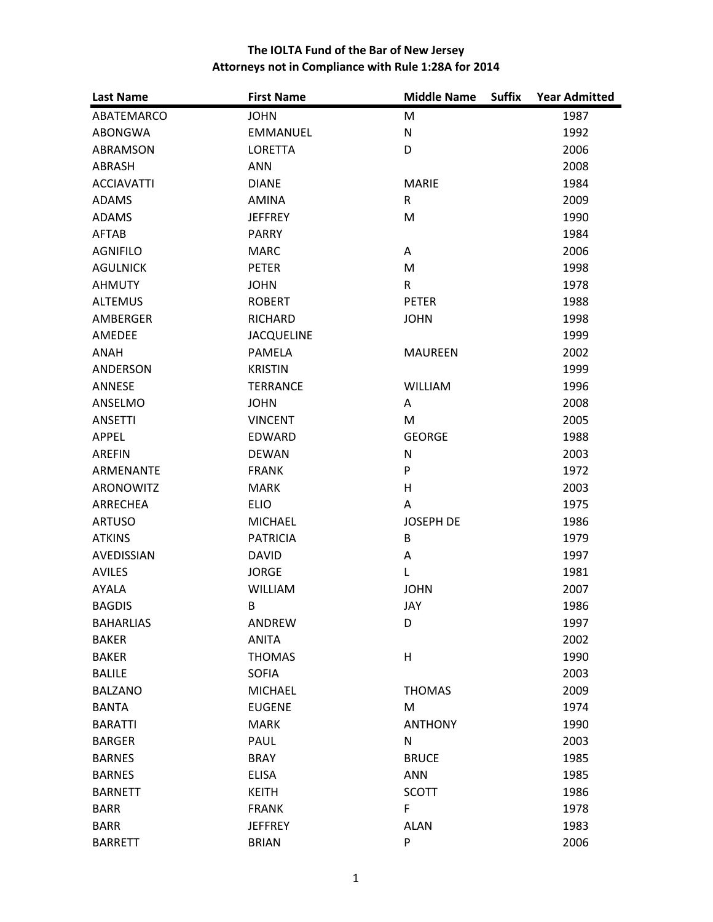| <b>Last Name</b>  | <b>First Name</b> | <b>Middle Name</b><br><b>Suffix</b> | <b>Year Admitted</b> |
|-------------------|-------------------|-------------------------------------|----------------------|
| ABATEMARCO        | <b>JOHN</b>       | M                                   | 1987                 |
| ABONGWA           | EMMANUEL          | $\mathsf{N}$                        | 1992                 |
| ABRAMSON          | <b>LORETTA</b>    | D                                   | 2006                 |
| ABRASH            | <b>ANN</b>        |                                     | 2008                 |
| <b>ACCIAVATTI</b> | <b>DIANE</b>      | <b>MARIE</b>                        | 1984                 |
| <b>ADAMS</b>      | <b>AMINA</b>      | $\mathsf{R}$                        | 2009                 |
| <b>ADAMS</b>      | <b>JEFFREY</b>    | M                                   | 1990                 |
| <b>AFTAB</b>      | <b>PARRY</b>      |                                     | 1984                 |
| <b>AGNIFILO</b>   | <b>MARC</b>       | A                                   | 2006                 |
| <b>AGULNICK</b>   | <b>PETER</b>      | M                                   | 1998                 |
| <b>AHMUTY</b>     | <b>JOHN</b>       | $\mathsf{R}$                        | 1978                 |
| <b>ALTEMUS</b>    | <b>ROBERT</b>     | <b>PETER</b>                        | 1988                 |
| AMBERGER          | <b>RICHARD</b>    | <b>JOHN</b>                         | 1998                 |
| AMEDEE            | <b>JACQUELINE</b> |                                     | 1999                 |
| <b>ANAH</b>       | PAMELA            | <b>MAUREEN</b>                      | 2002                 |
| <b>ANDERSON</b>   | <b>KRISTIN</b>    |                                     | 1999                 |
| ANNESE            | <b>TERRANCE</b>   | <b>WILLIAM</b>                      | 1996                 |
| ANSELMO           | <b>JOHN</b>       | Α                                   | 2008                 |
| <b>ANSETTI</b>    | <b>VINCENT</b>    | M                                   | 2005                 |
| APPEL             | <b>EDWARD</b>     | <b>GEORGE</b>                       | 1988                 |
| <b>AREFIN</b>     | <b>DEWAN</b>      | $\mathsf{N}$                        | 2003                 |
| ARMENANTE         | <b>FRANK</b>      | P                                   | 1972                 |
| <b>ARONOWITZ</b>  | <b>MARK</b>       | H                                   | 2003                 |
| ARRECHEA          | <b>ELIO</b>       | A                                   | 1975                 |
| <b>ARTUSO</b>     | <b>MICHAEL</b>    | <b>JOSEPH DE</b>                    | 1986                 |
| <b>ATKINS</b>     | <b>PATRICIA</b>   | B                                   | 1979                 |
| <b>AVEDISSIAN</b> | <b>DAVID</b>      | Α                                   | 1997                 |
| <b>AVILES</b>     | <b>JORGE</b>      | L                                   | 1981                 |
| AYALA             | <b>WILLIAM</b>    | <b>JOHN</b>                         | 2007                 |
| <b>BAGDIS</b>     | B                 | JAY                                 | 1986                 |
| <b>BAHARLIAS</b>  | ANDREW            | D                                   | 1997                 |
| <b>BAKER</b>      | <b>ANITA</b>      |                                     | 2002                 |
| <b>BAKER</b>      | <b>THOMAS</b>     | H                                   | 1990                 |
| <b>BALILE</b>     | <b>SOFIA</b>      |                                     | 2003                 |
| <b>BALZANO</b>    | <b>MICHAEL</b>    | <b>THOMAS</b>                       | 2009                 |
| <b>BANTA</b>      | <b>EUGENE</b>     | M                                   | 1974                 |
| <b>BARATTI</b>    | <b>MARK</b>       | <b>ANTHONY</b>                      | 1990                 |
| <b>BARGER</b>     | PAUL              | ${\sf N}$                           | 2003                 |
| <b>BARNES</b>     | <b>BRAY</b>       | <b>BRUCE</b>                        | 1985                 |
| <b>BARNES</b>     | <b>ELISA</b>      | <b>ANN</b>                          | 1985                 |
| <b>BARNETT</b>    | <b>KEITH</b>      | <b>SCOTT</b>                        | 1986                 |
| <b>BARR</b>       | <b>FRANK</b>      | F                                   | 1978                 |
| <b>BARR</b>       | <b>JEFFREY</b>    | <b>ALAN</b>                         | 1983                 |
| <b>BARRETT</b>    | <b>BRIAN</b>      | P                                   | 2006                 |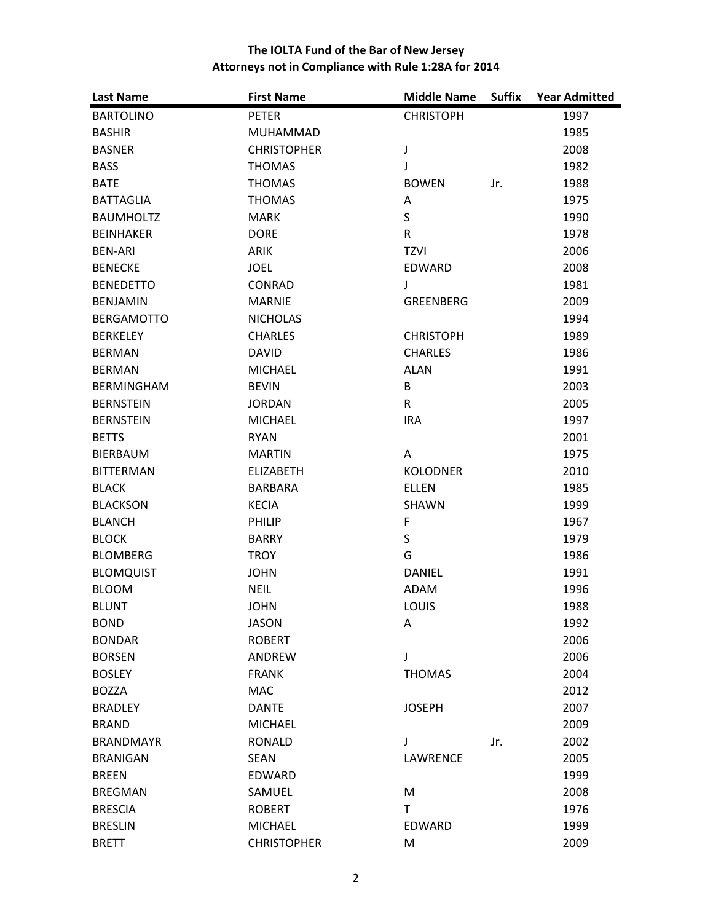| <b>Last Name</b>  | <b>First Name</b>  | <b>Middle Name</b> | <b>Suffix</b> | <b>Year Admitted</b> |
|-------------------|--------------------|--------------------|---------------|----------------------|
| <b>BARTOLINO</b>  | <b>PETER</b>       | <b>CHRISTOPH</b>   |               | 1997                 |
| <b>BASHIR</b>     | MUHAMMAD           |                    |               | 1985                 |
| <b>BASNER</b>     | <b>CHRISTOPHER</b> | J                  |               | 2008                 |
| <b>BASS</b>       | <b>THOMAS</b>      | J                  |               | 1982                 |
| <b>BATE</b>       | <b>THOMAS</b>      | <b>BOWEN</b>       | Jr.           | 1988                 |
| <b>BATTAGLIA</b>  | <b>THOMAS</b>      | A                  |               | 1975                 |
| <b>BAUMHOLTZ</b>  | <b>MARK</b>        | $\sf S$            |               | 1990                 |
| <b>BEINHAKER</b>  | <b>DORE</b>        | R                  |               | 1978                 |
| <b>BEN-ARI</b>    | <b>ARIK</b>        | <b>TZVI</b>        |               | 2006                 |
| <b>BENECKE</b>    | <b>JOEL</b>        | EDWARD             |               | 2008                 |
| <b>BENEDETTO</b>  | <b>CONRAD</b>      | J                  |               | 1981                 |
| <b>BENJAMIN</b>   | <b>MARNIE</b>      | <b>GREENBERG</b>   |               | 2009                 |
| <b>BERGAMOTTO</b> | <b>NICHOLAS</b>    |                    |               | 1994                 |
| <b>BERKELEY</b>   | <b>CHARLES</b>     | <b>CHRISTOPH</b>   |               | 1989                 |
| <b>BERMAN</b>     | <b>DAVID</b>       | <b>CHARLES</b>     |               | 1986                 |
| <b>BERMAN</b>     | <b>MICHAEL</b>     | <b>ALAN</b>        |               | 1991                 |
| <b>BERMINGHAM</b> | <b>BEVIN</b>       | B                  |               | 2003                 |
| <b>BERNSTEIN</b>  | <b>JORDAN</b>      | R                  |               | 2005                 |
| <b>BERNSTEIN</b>  | <b>MICHAEL</b>     | <b>IRA</b>         |               | 1997                 |
| <b>BETTS</b>      | <b>RYAN</b>        |                    |               | 2001                 |
| BIERBAUM          | <b>MARTIN</b>      | A                  |               | 1975                 |
| <b>BITTERMAN</b>  | <b>ELIZABETH</b>   | <b>KOLODNER</b>    |               | 2010                 |
| <b>BLACK</b>      | <b>BARBARA</b>     | <b>ELLEN</b>       |               | 1985                 |
| <b>BLACKSON</b>   | <b>KECIA</b>       | SHAWN              |               | 1999                 |
| <b>BLANCH</b>     | PHILIP             | $\mathsf F$        |               | 1967                 |
| <b>BLOCK</b>      | <b>BARRY</b>       | $\mathsf S$        |               | 1979                 |
| <b>BLOMBERG</b>   | <b>TROY</b>        | G                  |               | 1986                 |
| <b>BLOMQUIST</b>  | <b>JOHN</b>        | <b>DANIEL</b>      |               | 1991                 |
| <b>BLOOM</b>      | <b>NEIL</b>        | ADAM               |               | 1996                 |
| <b>BLUNT</b>      | <b>JOHN</b>        | LOUIS              |               | 1988                 |
| <b>BOND</b>       | <b>JASON</b>       | Α                  |               | 1992                 |
| <b>BONDAR</b>     | <b>ROBERT</b>      |                    |               | 2006                 |
| <b>BORSEN</b>     | <b>ANDREW</b>      | J                  |               | 2006                 |
| <b>BOSLEY</b>     | <b>FRANK</b>       | <b>THOMAS</b>      |               | 2004                 |
| <b>BOZZA</b>      | <b>MAC</b>         |                    |               | 2012                 |
| <b>BRADLEY</b>    | <b>DANTE</b>       | <b>JOSEPH</b>      |               | 2007                 |
| <b>BRAND</b>      | <b>MICHAEL</b>     |                    |               | 2009                 |
| <b>BRANDMAYR</b>  | <b>RONALD</b>      | J                  | Jr.           | 2002                 |
| <b>BRANIGAN</b>   | <b>SEAN</b>        | <b>LAWRENCE</b>    |               | 2005                 |
| <b>BREEN</b>      | <b>EDWARD</b>      |                    |               | 1999                 |
| <b>BREGMAN</b>    | SAMUEL             | M                  |               | 2008                 |
| <b>BRESCIA</b>    | <b>ROBERT</b>      | T                  |               | 1976                 |
| <b>BRESLIN</b>    | <b>MICHAEL</b>     | <b>EDWARD</b>      |               | 1999                 |
| <b>BRETT</b>      | <b>CHRISTOPHER</b> | M                  |               | 2009                 |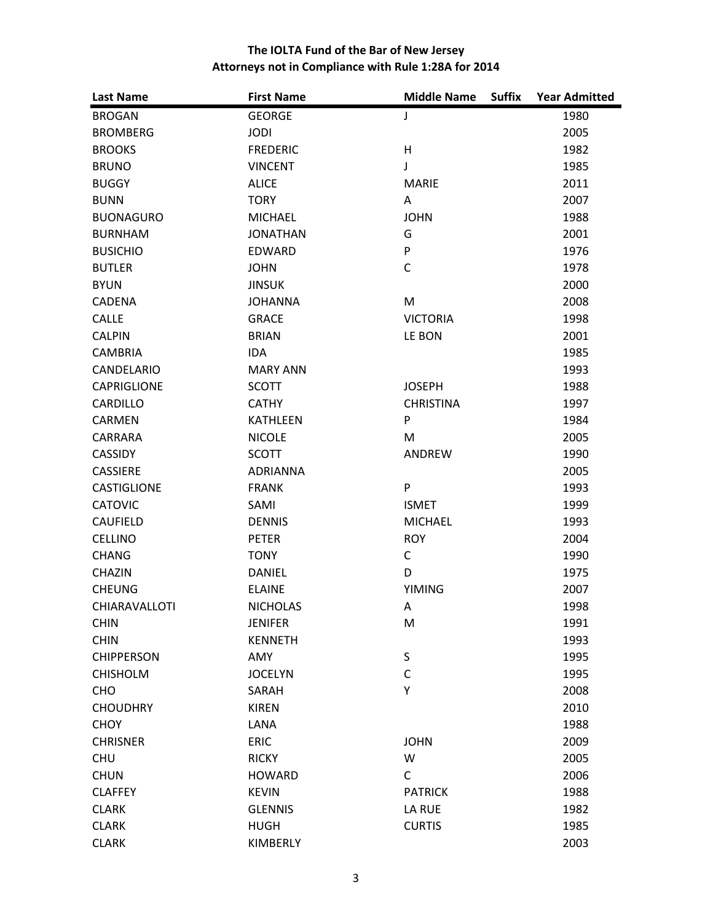| <b>Last Name</b>     | <b>First Name</b> | <b>Middle Name</b><br><b>Suffix</b> | <b>Year Admitted</b> |
|----------------------|-------------------|-------------------------------------|----------------------|
| <b>BROGAN</b>        | <b>GEORGE</b>     | J                                   | 1980                 |
| <b>BROMBERG</b>      | <b>JODI</b>       |                                     | 2005                 |
| <b>BROOKS</b>        | <b>FREDERIC</b>   | H                                   | 1982                 |
| <b>BRUNO</b>         | <b>VINCENT</b>    | J                                   | 1985                 |
| <b>BUGGY</b>         | <b>ALICE</b>      | <b>MARIE</b>                        | 2011                 |
| <b>BUNN</b>          | <b>TORY</b>       | A                                   | 2007                 |
| <b>BUONAGURO</b>     | <b>MICHAEL</b>    | <b>JOHN</b>                         | 1988                 |
| <b>BURNHAM</b>       | <b>JONATHAN</b>   | G                                   | 2001                 |
| <b>BUSICHIO</b>      | <b>EDWARD</b>     | P                                   | 1976                 |
| <b>BUTLER</b>        | <b>JOHN</b>       | $\mathsf C$                         | 1978                 |
| <b>BYUN</b>          | <b>JINSUK</b>     |                                     | 2000                 |
| <b>CADENA</b>        | <b>JOHANNA</b>    | M                                   | 2008                 |
| <b>CALLE</b>         | <b>GRACE</b>      | <b>VICTORIA</b>                     | 1998                 |
| <b>CALPIN</b>        | <b>BRIAN</b>      | LE BON                              | 2001                 |
| <b>CAMBRIA</b>       | <b>IDA</b>        |                                     | 1985                 |
| CANDELARIO           | <b>MARY ANN</b>   |                                     | 1993                 |
| <b>CAPRIGLIONE</b>   | <b>SCOTT</b>      | <b>JOSEPH</b>                       | 1988                 |
| <b>CARDILLO</b>      | <b>CATHY</b>      | <b>CHRISTINA</b>                    | 1997                 |
| <b>CARMEN</b>        | <b>KATHLEEN</b>   | P                                   | 1984                 |
| <b>CARRARA</b>       | <b>NICOLE</b>     | M                                   | 2005                 |
| <b>CASSIDY</b>       | <b>SCOTT</b>      | ANDREW                              | 1990                 |
| <b>CASSIERE</b>      | <b>ADRIANNA</b>   |                                     | 2005                 |
| CASTIGLIONE          | <b>FRANK</b>      | ${\sf P}$                           | 1993                 |
| <b>CATOVIC</b>       | SAMI              | <b>ISMET</b>                        | 1999                 |
| <b>CAUFIELD</b>      | <b>DENNIS</b>     | <b>MICHAEL</b>                      | 1993                 |
| <b>CELLINO</b>       | <b>PETER</b>      | <b>ROY</b>                          | 2004                 |
| <b>CHANG</b>         | <b>TONY</b>       | $\mathsf C$                         | 1990                 |
| <b>CHAZIN</b>        | <b>DANIEL</b>     | D                                   | 1975                 |
| <b>CHEUNG</b>        | <b>ELAINE</b>     | <b>YIMING</b>                       | 2007                 |
| <b>CHIARAVALLOTI</b> | <b>NICHOLAS</b>   | Α                                   | 1998                 |
| <b>CHIN</b>          | <b>JENIFER</b>    | M                                   | 1991                 |
| <b>CHIN</b>          | <b>KENNETH</b>    |                                     | 1993                 |
| <b>CHIPPERSON</b>    | AMY               | $\sf S$                             | 1995                 |
| <b>CHISHOLM</b>      | <b>JOCELYN</b>    | $\mathsf{C}$                        | 1995                 |
| CHO                  | SARAH             | Υ                                   | 2008                 |
| <b>CHOUDHRY</b>      | <b>KIREN</b>      |                                     | 2010                 |
| <b>CHOY</b>          | LANA              |                                     | 1988                 |
| <b>CHRISNER</b>      | <b>ERIC</b>       | <b>JOHN</b>                         | 2009                 |
| CHU                  | <b>RICKY</b>      | W                                   | 2005                 |
| <b>CHUN</b>          | <b>HOWARD</b>     | $\mathsf{C}$                        | 2006                 |
| <b>CLAFFEY</b>       | <b>KEVIN</b>      | <b>PATRICK</b>                      | 1988                 |
| <b>CLARK</b>         | <b>GLENNIS</b>    | LA RUE                              | 1982                 |
| <b>CLARK</b>         | <b>HUGH</b>       | <b>CURTIS</b>                       | 1985                 |
| <b>CLARK</b>         | KIMBERLY          |                                     | 2003                 |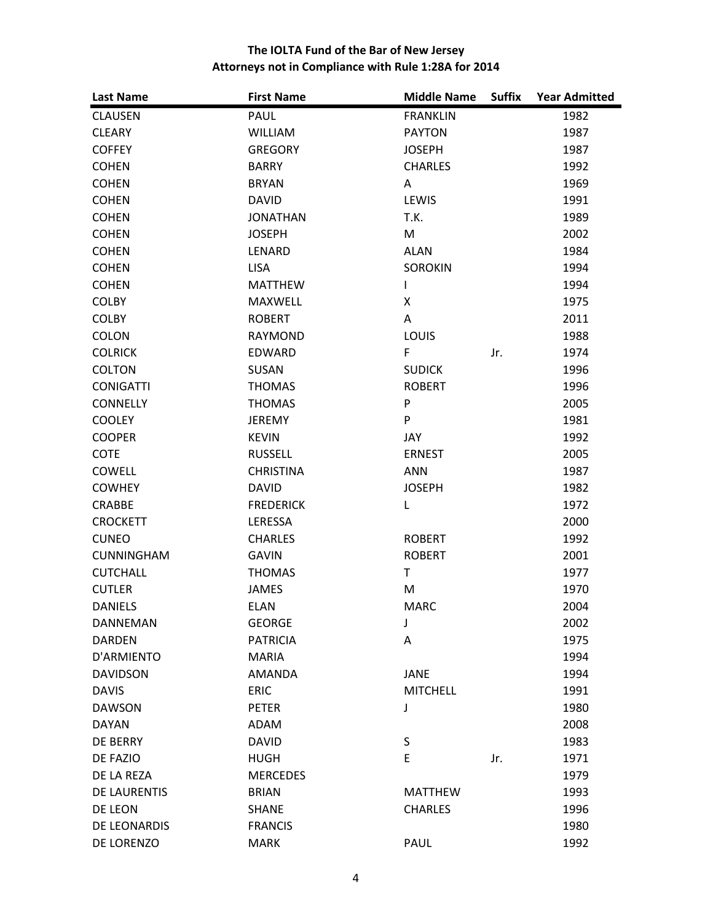| <b>Last Name</b>    | <b>First Name</b> | <b>Middle Name</b> | <b>Suffix</b> | <b>Year Admitted</b> |
|---------------------|-------------------|--------------------|---------------|----------------------|
| <b>CLAUSEN</b>      | PAUL              | <b>FRANKLIN</b>    |               | 1982                 |
| <b>CLEARY</b>       | <b>WILLIAM</b>    | <b>PAYTON</b>      |               | 1987                 |
| <b>COFFEY</b>       | <b>GREGORY</b>    | <b>JOSEPH</b>      |               | 1987                 |
| <b>COHEN</b>        | <b>BARRY</b>      | <b>CHARLES</b>     |               | 1992                 |
| <b>COHEN</b>        | <b>BRYAN</b>      | A                  |               | 1969                 |
| <b>COHEN</b>        | <b>DAVID</b>      | LEWIS              |               | 1991                 |
| <b>COHEN</b>        | <b>JONATHAN</b>   | T.K.               |               | 1989                 |
| <b>COHEN</b>        | <b>JOSEPH</b>     | M                  |               | 2002                 |
| <b>COHEN</b>        | LENARD            | <b>ALAN</b>        |               | 1984                 |
| <b>COHEN</b>        | <b>LISA</b>       | <b>SOROKIN</b>     |               | 1994                 |
| <b>COHEN</b>        | <b>MATTHEW</b>    | L                  |               | 1994                 |
| <b>COLBY</b>        | MAXWELL           | X                  |               | 1975                 |
| <b>COLBY</b>        | <b>ROBERT</b>     | Α                  |               | 2011                 |
| <b>COLON</b>        | <b>RAYMOND</b>    | LOUIS              |               | 1988                 |
| <b>COLRICK</b>      | <b>EDWARD</b>     | F                  | Jr.           | 1974                 |
| <b>COLTON</b>       | SUSAN             | <b>SUDICK</b>      |               | 1996                 |
| <b>CONIGATTI</b>    | <b>THOMAS</b>     | <b>ROBERT</b>      |               | 1996                 |
| <b>CONNELLY</b>     | <b>THOMAS</b>     | ${\sf P}$          |               | 2005                 |
| <b>COOLEY</b>       | <b>JEREMY</b>     | ${\sf P}$          |               | 1981                 |
| <b>COOPER</b>       | <b>KEVIN</b>      | JAY                |               | 1992                 |
| <b>COTE</b>         | <b>RUSSELL</b>    | <b>ERNEST</b>      |               | 2005                 |
| <b>COWELL</b>       | <b>CHRISTINA</b>  | <b>ANN</b>         |               | 1987                 |
| <b>COWHEY</b>       | <b>DAVID</b>      | <b>JOSEPH</b>      |               | 1982                 |
| <b>CRABBE</b>       | <b>FREDERICK</b>  | L                  |               | 1972                 |
| <b>CROCKETT</b>     | LERESSA           |                    |               | 2000                 |
| <b>CUNEO</b>        | <b>CHARLES</b>    | <b>ROBERT</b>      |               | 1992                 |
| <b>CUNNINGHAM</b>   | <b>GAVIN</b>      | <b>ROBERT</b>      |               | 2001                 |
| <b>CUTCHALL</b>     | <b>THOMAS</b>     | T                  |               | 1977                 |
| <b>CUTLER</b>       | <b>JAMES</b>      | M                  |               | 1970                 |
| <b>DANIELS</b>      | <b>ELAN</b>       | <b>MARC</b>        |               | 2004                 |
| DANNEMAN            | <b>GEORGE</b>     | J                  |               | 2002                 |
| <b>DARDEN</b>       | <b>PATRICIA</b>   | Α                  |               | 1975                 |
| D'ARMIENTO          | <b>MARIA</b>      |                    |               | 1994                 |
| <b>DAVIDSON</b>     | <b>AMANDA</b>     | <b>JANE</b>        |               | 1994                 |
| <b>DAVIS</b>        | <b>ERIC</b>       | <b>MITCHELL</b>    |               | 1991                 |
| <b>DAWSON</b>       | <b>PETER</b>      | J                  |               | 1980                 |
| <b>DAYAN</b>        | ADAM              |                    |               | 2008                 |
| <b>DE BERRY</b>     | <b>DAVID</b>      | $\sf S$            |               | 1983                 |
| DE FAZIO            | <b>HUGH</b>       | E                  | Jr.           | 1971                 |
| DE LA REZA          | <b>MERCEDES</b>   |                    |               | 1979                 |
| <b>DE LAURENTIS</b> | <b>BRIAN</b>      | <b>MATTHEW</b>     |               | 1993                 |
| DE LEON             | <b>SHANE</b>      | <b>CHARLES</b>     |               | 1996                 |
| DE LEONARDIS        | <b>FRANCIS</b>    |                    |               | 1980                 |
| DE LORENZO          | <b>MARK</b>       | PAUL               |               | 1992                 |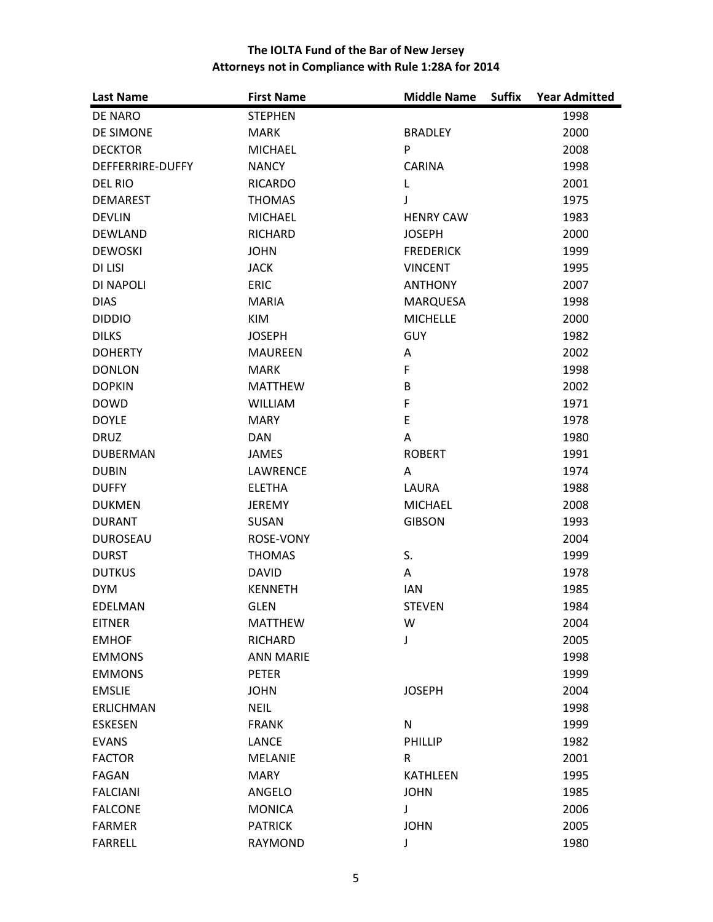| <b>Last Name</b>        | <b>First Name</b> | <b>Middle Name</b><br><b>Suffix</b> | <b>Year Admitted</b> |
|-------------------------|-------------------|-------------------------------------|----------------------|
| DE NARO                 | <b>STEPHEN</b>    |                                     | 1998                 |
| DE SIMONE               | <b>MARK</b>       | <b>BRADLEY</b>                      | 2000                 |
| <b>DECKTOR</b>          | <b>MICHAEL</b>    | P                                   | 2008                 |
| <b>DEFFERRIRE-DUFFY</b> | <b>NANCY</b>      | <b>CARINA</b>                       | 1998                 |
| DEL RIO                 | <b>RICARDO</b>    | L                                   | 2001                 |
| <b>DEMAREST</b>         | <b>THOMAS</b>     | J                                   | 1975                 |
| <b>DEVLIN</b>           | <b>MICHAEL</b>    | <b>HENRY CAW</b>                    | 1983                 |
| <b>DEWLAND</b>          | <b>RICHARD</b>    | <b>JOSEPH</b>                       | 2000                 |
| <b>DEWOSKI</b>          | <b>JOHN</b>       | <b>FREDERICK</b>                    | 1999                 |
| DI LISI                 | <b>JACK</b>       | <b>VINCENT</b>                      | 1995                 |
| DI NAPOLI               | <b>ERIC</b>       | <b>ANTHONY</b>                      | 2007                 |
| <b>DIAS</b>             | <b>MARIA</b>      | <b>MARQUESA</b>                     | 1998                 |
| <b>DIDDIO</b>           | <b>KIM</b>        | <b>MICHELLE</b>                     | 2000                 |
| <b>DILKS</b>            | <b>JOSEPH</b>     | GUY                                 | 1982                 |
| <b>DOHERTY</b>          | <b>MAUREEN</b>    | A                                   | 2002                 |
| <b>DONLON</b>           | <b>MARK</b>       | F                                   | 1998                 |
| <b>DOPKIN</b>           | <b>MATTHEW</b>    | B                                   | 2002                 |
| <b>DOWD</b>             | <b>WILLIAM</b>    | $\mathsf F$                         | 1971                 |
| <b>DOYLE</b>            | <b>MARY</b>       | $\mathsf E$                         | 1978                 |
| <b>DRUZ</b>             | <b>DAN</b>        | A                                   | 1980                 |
| <b>DUBERMAN</b>         | <b>JAMES</b>      | <b>ROBERT</b>                       | 1991                 |
| <b>DUBIN</b>            | <b>LAWRENCE</b>   | A                                   | 1974                 |
| <b>DUFFY</b>            | <b>ELETHA</b>     | LAURA                               | 1988                 |
| <b>DUKMEN</b>           | <b>JEREMY</b>     | <b>MICHAEL</b>                      | 2008                 |
| <b>DURANT</b>           | SUSAN             | <b>GIBSON</b>                       | 1993                 |
| <b>DUROSEAU</b>         | <b>ROSE-VONY</b>  |                                     | 2004                 |
| <b>DURST</b>            | <b>THOMAS</b>     | S.                                  | 1999                 |
| <b>DUTKUS</b>           | <b>DAVID</b>      | Α                                   | 1978                 |
| <b>DYM</b>              | <b>KENNETH</b>    | <b>IAN</b>                          | 1985                 |
| <b>EDELMAN</b>          | <b>GLEN</b>       | <b>STEVEN</b>                       | 1984                 |
| <b>EITNER</b>           | <b>MATTHEW</b>    | W                                   | 2004                 |
| <b>EMHOF</b>            | <b>RICHARD</b>    | J                                   | 2005                 |
| <b>EMMONS</b>           | <b>ANN MARIE</b>  |                                     | 1998                 |
| <b>EMMONS</b>           | <b>PETER</b>      |                                     | 1999                 |
| <b>EMSLIE</b>           | <b>JOHN</b>       | <b>JOSEPH</b>                       | 2004                 |
| <b>ERLICHMAN</b>        | <b>NEIL</b>       |                                     | 1998                 |
| <b>ESKESEN</b>          | <b>FRANK</b>      | ${\sf N}$                           | 1999                 |
| <b>EVANS</b>            | <b>LANCE</b>      | PHILLIP                             | 1982                 |
| <b>FACTOR</b>           | <b>MELANIE</b>    | R                                   | 2001                 |
| FAGAN                   | <b>MARY</b>       | <b>KATHLEEN</b>                     | 1995                 |
| <b>FALCIANI</b>         | ANGELO            | <b>JOHN</b>                         | 1985                 |
| <b>FALCONE</b>          | <b>MONICA</b>     | $\mathsf J$                         | 2006                 |
| <b>FARMER</b>           | <b>PATRICK</b>    | <b>JOHN</b>                         | 2005                 |
| <b>FARRELL</b>          | RAYMOND           | J                                   | 1980                 |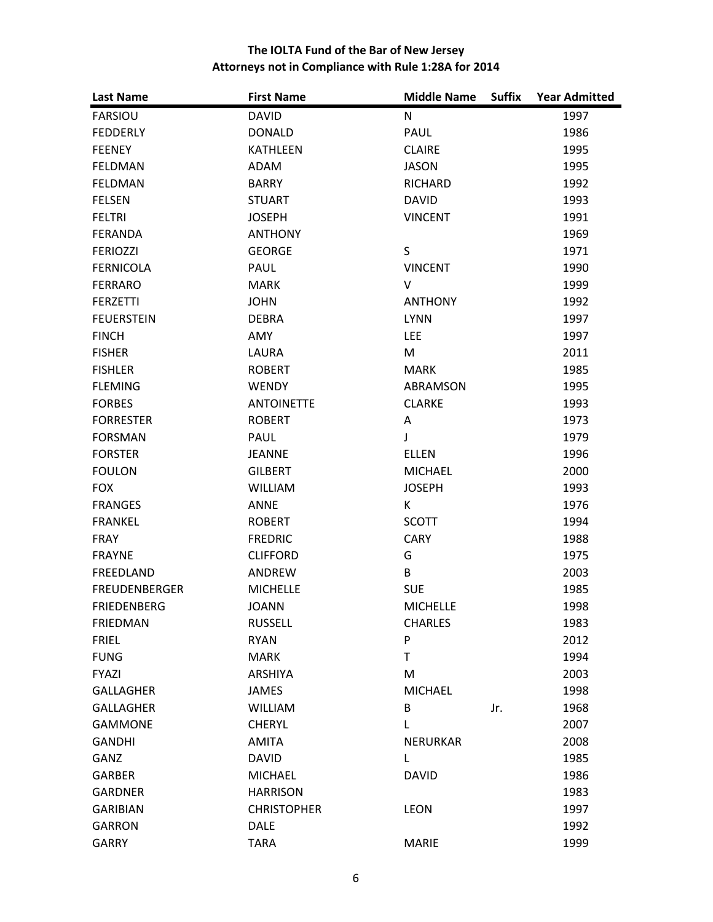| <b>Last Name</b>     | <b>First Name</b>  | <b>Middle Name</b><br><b>Suffix</b> | <b>Year Admitted</b> |
|----------------------|--------------------|-------------------------------------|----------------------|
| <b>FARSIOU</b>       | <b>DAVID</b>       | N                                   | 1997                 |
| <b>FEDDERLY</b>      | <b>DONALD</b>      | PAUL                                | 1986                 |
| <b>FEENEY</b>        | <b>KATHLEEN</b>    | <b>CLAIRE</b>                       | 1995                 |
| <b>FELDMAN</b>       | ADAM               | <b>JASON</b>                        | 1995                 |
| <b>FELDMAN</b>       | <b>BARRY</b>       | <b>RICHARD</b>                      | 1992                 |
| <b>FELSEN</b>        | <b>STUART</b>      | <b>DAVID</b>                        | 1993                 |
| <b>FELTRI</b>        | <b>JOSEPH</b>      | <b>VINCENT</b>                      | 1991                 |
| <b>FERANDA</b>       | <b>ANTHONY</b>     |                                     | 1969                 |
| <b>FERIOZZI</b>      | <b>GEORGE</b>      | S                                   | 1971                 |
| <b>FERNICOLA</b>     | PAUL               | <b>VINCENT</b>                      | 1990                 |
| <b>FERRARO</b>       | <b>MARK</b>        | V                                   | 1999                 |
| <b>FERZETTI</b>      | <b>JOHN</b>        | <b>ANTHONY</b>                      | 1992                 |
| <b>FEUERSTEIN</b>    | <b>DEBRA</b>       | <b>LYNN</b>                         | 1997                 |
| <b>FINCH</b>         | AMY                | <b>LEE</b>                          | 1997                 |
| <b>FISHER</b>        | LAURA              | M                                   | 2011                 |
| <b>FISHLER</b>       | <b>ROBERT</b>      | <b>MARK</b>                         | 1985                 |
| <b>FLEMING</b>       | <b>WENDY</b>       | ABRAMSON                            | 1995                 |
| <b>FORBES</b>        | <b>ANTOINETTE</b>  | <b>CLARKE</b>                       | 1993                 |
| <b>FORRESTER</b>     | <b>ROBERT</b>      | Α                                   | 1973                 |
| <b>FORSMAN</b>       | <b>PAUL</b>        | J                                   | 1979                 |
| <b>FORSTER</b>       | <b>JEANNE</b>      | <b>ELLEN</b>                        | 1996                 |
| <b>FOULON</b>        | <b>GILBERT</b>     | <b>MICHAEL</b>                      | 2000                 |
| <b>FOX</b>           | <b>WILLIAM</b>     | <b>JOSEPH</b>                       | 1993                 |
| <b>FRANGES</b>       | <b>ANNE</b>        | K                                   | 1976                 |
| <b>FRANKEL</b>       | <b>ROBERT</b>      | <b>SCOTT</b>                        | 1994                 |
| <b>FRAY</b>          | <b>FREDRIC</b>     | <b>CARY</b>                         | 1988                 |
| <b>FRAYNE</b>        | <b>CLIFFORD</b>    | G                                   | 1975                 |
| FREEDLAND            | ANDREW             | B                                   | 2003                 |
| <b>FREUDENBERGER</b> | <b>MICHELLE</b>    | <b>SUE</b>                          | 1985                 |
| <b>FRIEDENBERG</b>   | <b>JOANN</b>       | <b>MICHELLE</b>                     | 1998                 |
| <b>FRIEDMAN</b>      | <b>RUSSELL</b>     | <b>CHARLES</b>                      | 1983                 |
| <b>FRIEL</b>         | <b>RYAN</b>        | ${\sf P}$                           | 2012                 |
| <b>FUNG</b>          | <b>MARK</b>        | T                                   | 1994                 |
| <b>FYAZI</b>         | <b>ARSHIYA</b>     | M                                   | 2003                 |
| <b>GALLAGHER</b>     | <b>JAMES</b>       | <b>MICHAEL</b>                      | 1998                 |
| <b>GALLAGHER</b>     | <b>WILLIAM</b>     | B<br>Jr.                            | 1968                 |
| <b>GAMMONE</b>       | <b>CHERYL</b>      | L                                   | 2007                 |
| <b>GANDHI</b>        | <b>AMITA</b>       | <b>NERURKAR</b>                     | 2008                 |
| GANZ                 | <b>DAVID</b>       | L                                   | 1985                 |
| <b>GARBER</b>        | <b>MICHAEL</b>     | <b>DAVID</b>                        | 1986                 |
| <b>GARDNER</b>       | <b>HARRISON</b>    |                                     | 1983                 |
| <b>GARIBIAN</b>      | <b>CHRISTOPHER</b> | <b>LEON</b>                         | 1997                 |
| <b>GARRON</b>        | <b>DALE</b>        |                                     | 1992                 |
| <b>GARRY</b>         | <b>TARA</b>        | <b>MARIE</b>                        | 1999                 |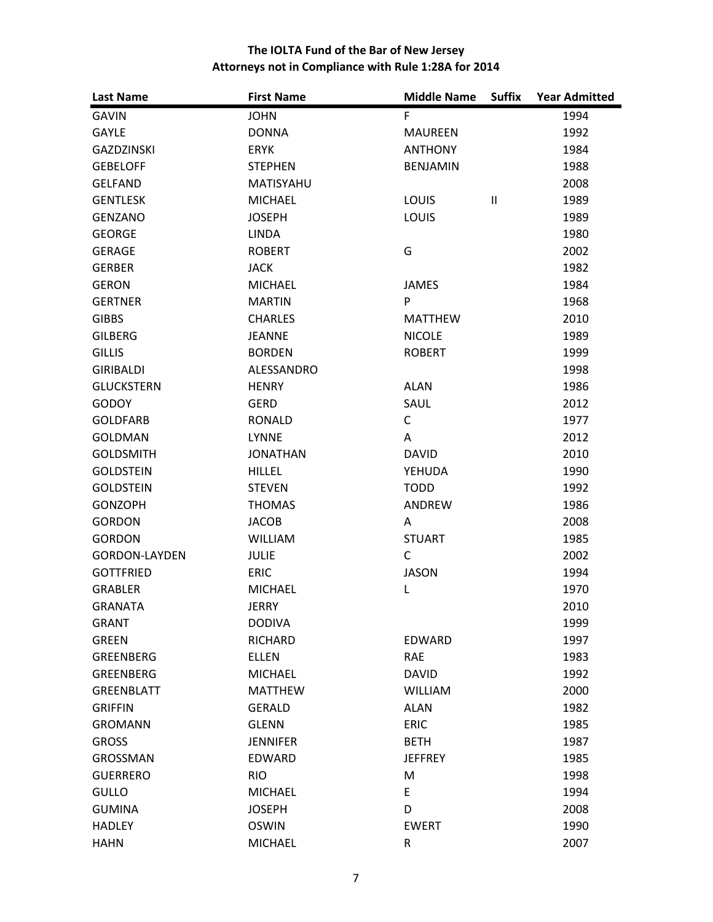| <b>Last Name</b>     | <b>First Name</b> | <b>Middle Name</b> | <b>Suffix</b> | <b>Year Admitted</b> |
|----------------------|-------------------|--------------------|---------------|----------------------|
| <b>GAVIN</b>         | <b>JOHN</b>       | F                  |               | 1994                 |
| <b>GAYLE</b>         | <b>DONNA</b>      | <b>MAUREEN</b>     |               | 1992                 |
| <b>GAZDZINSKI</b>    | <b>ERYK</b>       | <b>ANTHONY</b>     |               | 1984                 |
| <b>GEBELOFF</b>      | <b>STEPHEN</b>    | <b>BENJAMIN</b>    |               | 1988                 |
| <b>GELFAND</b>       | MATISYAHU         |                    |               | 2008                 |
| <b>GENTLESK</b>      | <b>MICHAEL</b>    | LOUIS              | $\mathbf{I}$  | 1989                 |
| <b>GENZANO</b>       | <b>JOSEPH</b>     | LOUIS              |               | 1989                 |
| <b>GEORGE</b>        | <b>LINDA</b>      |                    |               | 1980                 |
| <b>GERAGE</b>        | <b>ROBERT</b>     | G                  |               | 2002                 |
| <b>GERBER</b>        | <b>JACK</b>       |                    |               | 1982                 |
| <b>GERON</b>         | <b>MICHAEL</b>    | <b>JAMES</b>       |               | 1984                 |
| <b>GERTNER</b>       | <b>MARTIN</b>     | P                  |               | 1968                 |
| <b>GIBBS</b>         | <b>CHARLES</b>    | <b>MATTHEW</b>     |               | 2010                 |
| <b>GILBERG</b>       | <b>JEANNE</b>     | <b>NICOLE</b>      |               | 1989                 |
| <b>GILLIS</b>        | <b>BORDEN</b>     | <b>ROBERT</b>      |               | 1999                 |
| <b>GIRIBALDI</b>     | ALESSANDRO        |                    |               | 1998                 |
| <b>GLUCKSTERN</b>    | <b>HENRY</b>      | <b>ALAN</b>        |               | 1986                 |
| GODOY                | <b>GERD</b>       | SAUL               |               | 2012                 |
| <b>GOLDFARB</b>      | <b>RONALD</b>     | C                  |               | 1977                 |
| <b>GOLDMAN</b>       | <b>LYNNE</b>      | A                  |               | 2012                 |
| <b>GOLDSMITH</b>     | <b>JONATHAN</b>   | <b>DAVID</b>       |               | 2010                 |
| <b>GOLDSTEIN</b>     | <b>HILLEL</b>     | YEHUDA             |               | 1990                 |
| <b>GOLDSTEIN</b>     | <b>STEVEN</b>     | <b>TODD</b>        |               | 1992                 |
| <b>GONZOPH</b>       | <b>THOMAS</b>     | ANDREW             |               | 1986                 |
| <b>GORDON</b>        | <b>JACOB</b>      | A                  |               | 2008                 |
| <b>GORDON</b>        | <b>WILLIAM</b>    | <b>STUART</b>      |               | 1985                 |
| <b>GORDON-LAYDEN</b> | <b>JULIE</b>      | $\mathsf{C}$       |               | 2002                 |
| <b>GOTTFRIED</b>     | <b>ERIC</b>       | <b>JASON</b>       |               | 1994                 |
| <b>GRABLER</b>       | <b>MICHAEL</b>    | Г                  |               | 1970                 |
| <b>GRANATA</b>       | <b>JERRY</b>      |                    |               | 2010                 |
| <b>GRANT</b>         | <b>DODIVA</b>     |                    |               | 1999                 |
| <b>GREEN</b>         | RICHARD           | <b>EDWARD</b>      |               | 1997                 |
| <b>GREENBERG</b>     | <b>ELLEN</b>      | <b>RAE</b>         |               | 1983                 |
| <b>GREENBERG</b>     | <b>MICHAEL</b>    | <b>DAVID</b>       |               | 1992                 |
| <b>GREENBLATT</b>    | <b>MATTHEW</b>    | <b>WILLIAM</b>     |               | 2000                 |
| <b>GRIFFIN</b>       | <b>GERALD</b>     | <b>ALAN</b>        |               | 1982                 |
| <b>GROMANN</b>       | <b>GLENN</b>      | <b>ERIC</b>        |               | 1985                 |
| <b>GROSS</b>         | <b>JENNIFER</b>   | <b>BETH</b>        |               | 1987                 |
| <b>GROSSMAN</b>      | <b>EDWARD</b>     | <b>JEFFREY</b>     |               | 1985                 |
| <b>GUERRERO</b>      | <b>RIO</b>        | M                  |               | 1998                 |
| <b>GULLO</b>         | <b>MICHAEL</b>    | E                  |               | 1994                 |
| <b>GUMINA</b>        | <b>JOSEPH</b>     | D                  |               | 2008                 |
| <b>HADLEY</b>        | <b>OSWIN</b>      | <b>EWERT</b>       |               | 1990                 |
| <b>HAHN</b>          | <b>MICHAEL</b>    | R                  |               | 2007                 |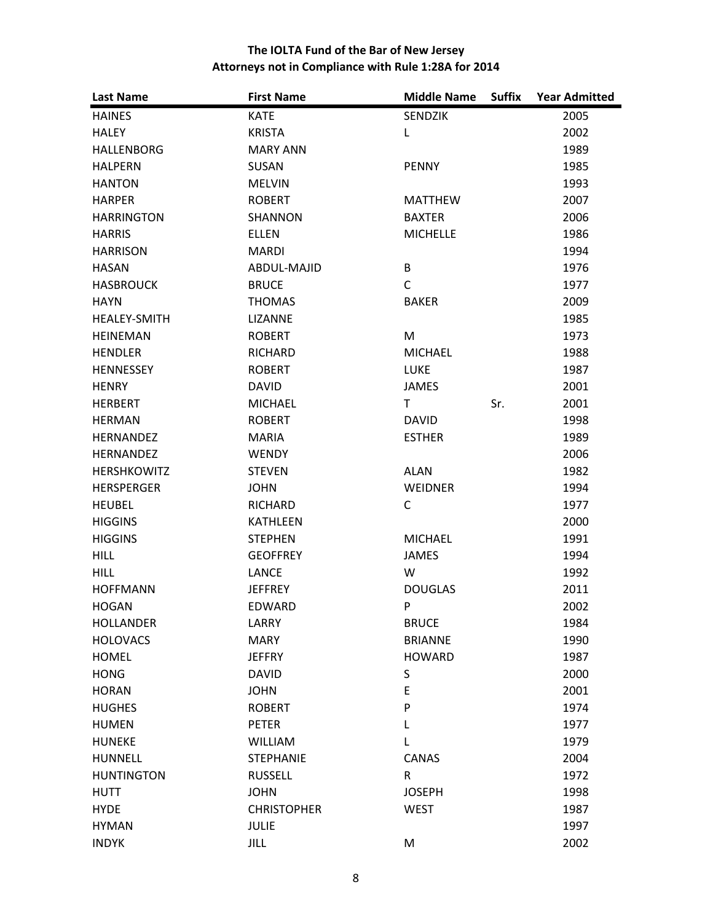| <b>Last Name</b>    | <b>First Name</b>  | <b>Middle Name</b> | <b>Suffix</b> | <b>Year Admitted</b> |
|---------------------|--------------------|--------------------|---------------|----------------------|
| <b>HAINES</b>       | <b>KATE</b>        | <b>SENDZIK</b>     |               | 2005                 |
| <b>HALEY</b>        | <b>KRISTA</b>      | L                  |               | 2002                 |
| <b>HALLENBORG</b>   | <b>MARY ANN</b>    |                    |               | 1989                 |
| <b>HALPERN</b>      | <b>SUSAN</b>       | <b>PENNY</b>       |               | 1985                 |
| <b>HANTON</b>       | <b>MELVIN</b>      |                    |               | 1993                 |
| <b>HARPER</b>       | <b>ROBERT</b>      | <b>MATTHEW</b>     |               | 2007                 |
| <b>HARRINGTON</b>   | <b>SHANNON</b>     | <b>BAXTER</b>      |               | 2006                 |
| <b>HARRIS</b>       | <b>ELLEN</b>       | <b>MICHELLE</b>    |               | 1986                 |
| <b>HARRISON</b>     | <b>MARDI</b>       |                    |               | 1994                 |
| <b>HASAN</b>        | ABDUL-MAJID        | B                  |               | 1976                 |
| <b>HASBROUCK</b>    | <b>BRUCE</b>       | $\mathsf C$        |               | 1977                 |
| <b>HAYN</b>         | <b>THOMAS</b>      | <b>BAKER</b>       |               | 2009                 |
| <b>HEALEY-SMITH</b> | LIZANNE            |                    |               | 1985                 |
| <b>HEINEMAN</b>     | <b>ROBERT</b>      | M                  |               | 1973                 |
| <b>HENDLER</b>      | <b>RICHARD</b>     | <b>MICHAEL</b>     |               | 1988                 |
| <b>HENNESSEY</b>    | <b>ROBERT</b>      | <b>LUKE</b>        |               | 1987                 |
| <b>HENRY</b>        | <b>DAVID</b>       | <b>JAMES</b>       |               | 2001                 |
| <b>HERBERT</b>      | <b>MICHAEL</b>     | T.                 | Sr.           | 2001                 |
| <b>HERMAN</b>       | <b>ROBERT</b>      | <b>DAVID</b>       |               | 1998                 |
| <b>HERNANDEZ</b>    | <b>MARIA</b>       | <b>ESTHER</b>      |               | 1989                 |
| <b>HERNANDEZ</b>    | <b>WENDY</b>       |                    |               | 2006                 |
| <b>HERSHKOWITZ</b>  | <b>STEVEN</b>      | <b>ALAN</b>        |               | 1982                 |
| <b>HERSPERGER</b>   | <b>JOHN</b>        | <b>WEIDNER</b>     |               | 1994                 |
| <b>HEUBEL</b>       | <b>RICHARD</b>     | C                  |               | 1977                 |
| <b>HIGGINS</b>      | <b>KATHLEEN</b>    |                    |               | 2000                 |
| <b>HIGGINS</b>      | <b>STEPHEN</b>     | <b>MICHAEL</b>     |               | 1991                 |
| <b>HILL</b>         | <b>GEOFFREY</b>    | <b>JAMES</b>       |               | 1994                 |
| <b>HILL</b>         | LANCE              | W                  |               | 1992                 |
| <b>HOFFMANN</b>     | <b>JEFFREY</b>     | <b>DOUGLAS</b>     |               | 2011                 |
| <b>HOGAN</b>        | <b>EDWARD</b>      | P                  |               | 2002                 |
| <b>HOLLANDER</b>    | LARRY              | <b>BRUCE</b>       |               | 1984                 |
| <b>HOLOVACS</b>     | <b>MARY</b>        | <b>BRIANNE</b>     |               | 1990                 |
| <b>HOMEL</b>        | <b>JEFFRY</b>      | <b>HOWARD</b>      |               | 1987                 |
| <b>HONG</b>         | <b>DAVID</b>       | S                  |               | 2000                 |
| <b>HORAN</b>        | <b>JOHN</b>        | E                  |               | 2001                 |
| <b>HUGHES</b>       | <b>ROBERT</b>      | P                  |               | 1974                 |
| <b>HUMEN</b>        | <b>PETER</b>       | L                  |               | 1977                 |
| <b>HUNEKE</b>       | <b>WILLIAM</b>     | L                  |               | 1979                 |
| HUNNELL             | <b>STEPHANIE</b>   | CANAS              |               | 2004                 |
| <b>HUNTINGTON</b>   | <b>RUSSELL</b>     | R                  |               | 1972                 |
| <b>HUTT</b>         | <b>JOHN</b>        | <b>JOSEPH</b>      |               | 1998                 |
| <b>HYDE</b>         | <b>CHRISTOPHER</b> | <b>WEST</b>        |               | 1987                 |
| <b>HYMAN</b>        | <b>JULIE</b>       |                    |               | 1997                 |
| <b>INDYK</b>        | JILL               | M                  |               | 2002                 |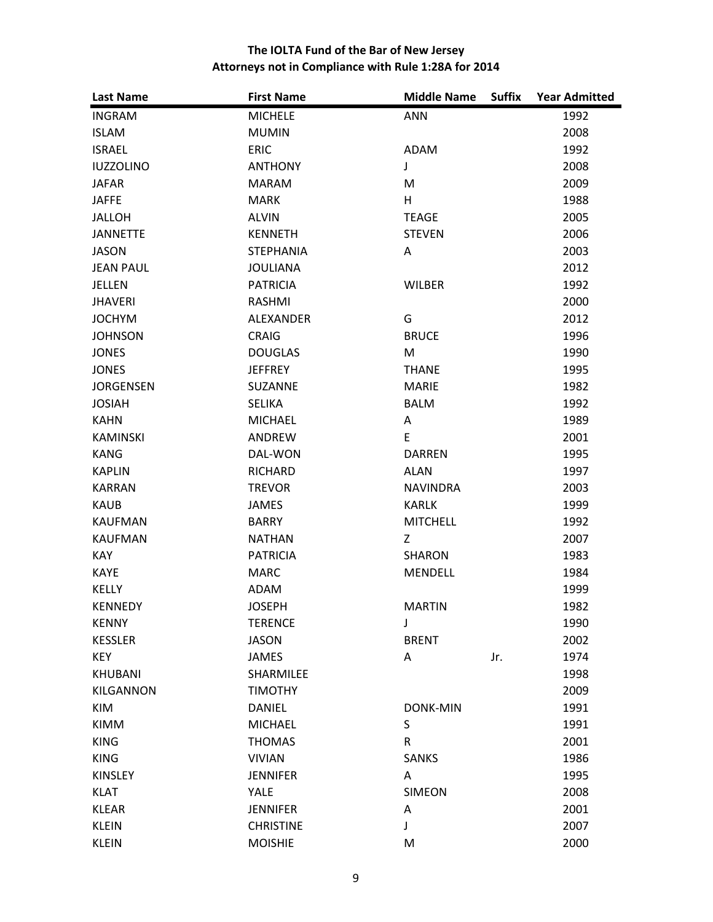| <b>Last Name</b> | <b>First Name</b> | <b>Middle Name</b><br><b>Suffix</b> | <b>Year Admitted</b> |
|------------------|-------------------|-------------------------------------|----------------------|
| <b>INGRAM</b>    | <b>MICHELE</b>    | <b>ANN</b>                          | 1992                 |
| <b>ISLAM</b>     | <b>MUMIN</b>      |                                     | 2008                 |
| <b>ISRAEL</b>    | <b>ERIC</b>       | <b>ADAM</b>                         | 1992                 |
| <b>IUZZOLINO</b> | <b>ANTHONY</b>    | J                                   | 2008                 |
| <b>JAFAR</b>     | <b>MARAM</b>      | M                                   | 2009                 |
| <b>JAFFE</b>     | <b>MARK</b>       | H                                   | 1988                 |
| <b>JALLOH</b>    | <b>ALVIN</b>      | <b>TEAGE</b>                        | 2005                 |
| <b>JANNETTE</b>  | <b>KENNETH</b>    | <b>STEVEN</b>                       | 2006                 |
| <b>JASON</b>     | <b>STEPHANIA</b>  | A                                   | 2003                 |
| <b>JEAN PAUL</b> | <b>JOULIANA</b>   |                                     | 2012                 |
| <b>JELLEN</b>    | <b>PATRICIA</b>   | <b>WILBER</b>                       | 1992                 |
| <b>JHAVERI</b>   | <b>RASHMI</b>     |                                     | 2000                 |
| <b>JOCHYM</b>    | <b>ALEXANDER</b>  | G                                   | 2012                 |
| <b>JOHNSON</b>   | <b>CRAIG</b>      | <b>BRUCE</b>                        | 1996                 |
| <b>JONES</b>     | <b>DOUGLAS</b>    | M                                   | 1990                 |
| <b>JONES</b>     | <b>JEFFREY</b>    | <b>THANE</b>                        | 1995                 |
| <b>JORGENSEN</b> | <b>SUZANNE</b>    | <b>MARIE</b>                        | 1982                 |
| <b>JOSIAH</b>    | <b>SELIKA</b>     | <b>BALM</b>                         | 1992                 |
| <b>KAHN</b>      | <b>MICHAEL</b>    | Α                                   | 1989                 |
| <b>KAMINSKI</b>  | ANDREW            | E                                   | 2001                 |
| <b>KANG</b>      | DAL-WON           | <b>DARREN</b>                       | 1995                 |
| <b>KAPLIN</b>    | <b>RICHARD</b>    | <b>ALAN</b>                         | 1997                 |
| <b>KARRAN</b>    | <b>TREVOR</b>     | <b>NAVINDRA</b>                     | 2003                 |
| <b>KAUB</b>      | <b>JAMES</b>      | <b>KARLK</b>                        | 1999                 |
| <b>KAUFMAN</b>   | <b>BARRY</b>      | <b>MITCHELL</b>                     | 1992                 |
| <b>KAUFMAN</b>   | <b>NATHAN</b>     | Z                                   | 2007                 |
| <b>KAY</b>       | <b>PATRICIA</b>   | <b>SHARON</b>                       | 1983                 |
| <b>KAYE</b>      | <b>MARC</b>       | <b>MENDELL</b>                      | 1984                 |
| <b>KELLY</b>     | <b>ADAM</b>       |                                     | 1999                 |
| <b>KENNEDY</b>   | <b>JOSEPH</b>     | <b>MARTIN</b>                       | 1982                 |
| <b>KENNY</b>     | <b>TERENCE</b>    | J                                   | 1990                 |
| <b>KESSLER</b>   | <b>JASON</b>      | <b>BRENT</b>                        | 2002                 |
| <b>KEY</b>       | JAMES             | Α<br>Jr.                            | 1974                 |
| <b>KHUBANI</b>   | SHARMILEE         |                                     | 1998                 |
| <b>KILGANNON</b> | <b>TIMOTHY</b>    |                                     | 2009                 |
| <b>KIM</b>       | <b>DANIEL</b>     | <b>DONK-MIN</b>                     | 1991                 |
| <b>KIMM</b>      | <b>MICHAEL</b>    | S                                   | 1991                 |
| <b>KING</b>      | <b>THOMAS</b>     | $\mathsf R$                         | 2001                 |
| <b>KING</b>      | <b>VIVIAN</b>     | <b>SANKS</b>                        | 1986                 |
| <b>KINSLEY</b>   | <b>JENNIFER</b>   | Α                                   | 1995                 |
| <b>KLAT</b>      | <b>YALE</b>       | <b>SIMEON</b>                       | 2008                 |
| <b>KLEAR</b>     | <b>JENNIFER</b>   | Α                                   | 2001                 |
| <b>KLEIN</b>     | <b>CHRISTINE</b>  | J                                   | 2007                 |
| <b>KLEIN</b>     | <b>MOISHIE</b>    | M                                   | 2000                 |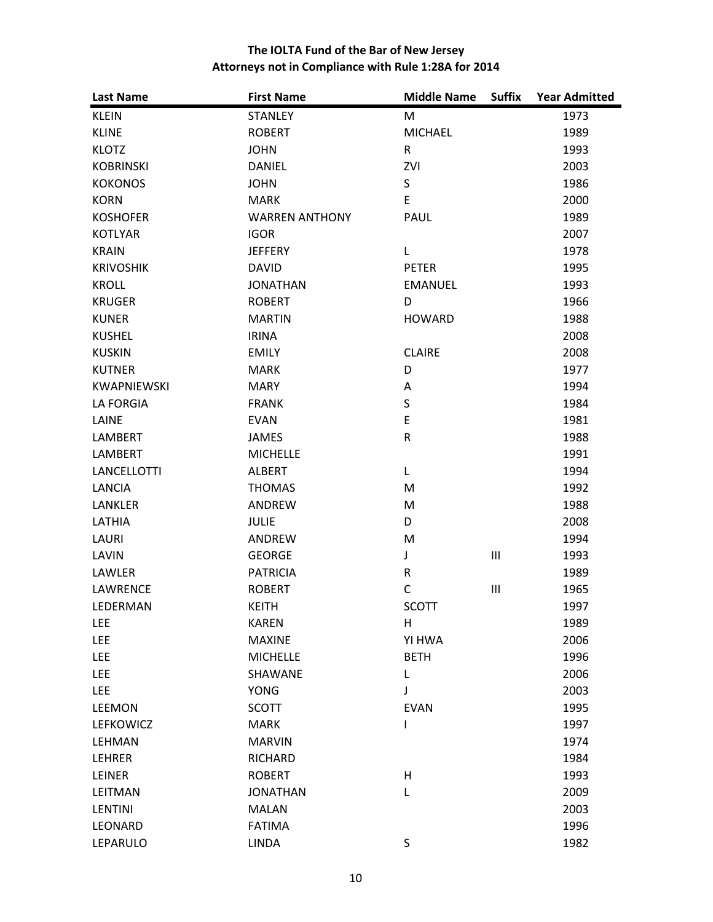| <b>Last Name</b>   | <b>First Name</b>     | <b>Middle Name</b> | <b>Suffix</b>                      | <b>Year Admitted</b> |
|--------------------|-----------------------|--------------------|------------------------------------|----------------------|
| <b>KLEIN</b>       | <b>STANLEY</b>        | M                  |                                    | 1973                 |
| <b>KLINE</b>       | <b>ROBERT</b>         | <b>MICHAEL</b>     |                                    | 1989                 |
| <b>KLOTZ</b>       | <b>JOHN</b>           | R                  |                                    | 1993                 |
| <b>KOBRINSKI</b>   | <b>DANIEL</b>         | ZVI                |                                    | 2003                 |
| <b>KOKONOS</b>     | <b>JOHN</b>           | $\mathsf S$        |                                    | 1986                 |
| <b>KORN</b>        | <b>MARK</b>           | E                  |                                    | 2000                 |
| <b>KOSHOFER</b>    | <b>WARREN ANTHONY</b> | <b>PAUL</b>        |                                    | 1989                 |
| <b>KOTLYAR</b>     | <b>IGOR</b>           |                    |                                    | 2007                 |
| <b>KRAIN</b>       | <b>JEFFERY</b>        | Г                  |                                    | 1978                 |
| <b>KRIVOSHIK</b>   | <b>DAVID</b>          | <b>PETER</b>       |                                    | 1995                 |
| <b>KROLL</b>       | <b>JONATHAN</b>       | <b>EMANUEL</b>     |                                    | 1993                 |
| <b>KRUGER</b>      | <b>ROBERT</b>         | D                  |                                    | 1966                 |
| <b>KUNER</b>       | <b>MARTIN</b>         | <b>HOWARD</b>      |                                    | 1988                 |
| <b>KUSHEL</b>      | <b>IRINA</b>          |                    |                                    | 2008                 |
| <b>KUSKIN</b>      | <b>EMILY</b>          | <b>CLAIRE</b>      |                                    | 2008                 |
| <b>KUTNER</b>      | <b>MARK</b>           | D                  |                                    | 1977                 |
| <b>KWAPNIEWSKI</b> | <b>MARY</b>           | Α                  |                                    | 1994                 |
| <b>LA FORGIA</b>   | <b>FRANK</b>          | $\sf S$            |                                    | 1984                 |
| LAINE              | <b>EVAN</b>           | E                  |                                    | 1981                 |
| <b>LAMBERT</b>     | <b>JAMES</b>          | ${\sf R}$          |                                    | 1988                 |
| <b>LAMBERT</b>     | <b>MICHELLE</b>       |                    |                                    | 1991                 |
| <b>LANCELLOTTI</b> | <b>ALBERT</b>         | L                  |                                    | 1994                 |
| LANCIA             | <b>THOMAS</b>         | M                  |                                    | 1992                 |
| <b>LANKLER</b>     | ANDREW                | M                  |                                    | 1988                 |
| LATHIA             | <b>JULIE</b>          | D                  |                                    | 2008                 |
| LAURI              | ANDREW                | M                  |                                    | 1994                 |
| LAVIN              | <b>GEORGE</b>         | J                  | $\ensuremath{\mathsf{III}}\xspace$ | 1993                 |
| LAWLER             | <b>PATRICIA</b>       | R                  |                                    | 1989                 |
| LAWRENCE           | <b>ROBERT</b>         | $\mathsf{C}$       | $\mathsf{III}$                     | 1965                 |
| LEDERMAN           | <b>KEITH</b>          | <b>SCOTT</b>       |                                    | 1997                 |
| LEE                | <b>KAREN</b>          | Η                  |                                    | 1989                 |
| LEE                | <b>MAXINE</b>         | YI HWA             |                                    | 2006                 |
| LEE                | <b>MICHELLE</b>       | <b>BETH</b>        |                                    | 1996                 |
| LEE                | SHAWANE               | L                  |                                    | 2006                 |
| LEE                | <b>YONG</b>           | J                  |                                    | 2003                 |
| <b>LEEMON</b>      | <b>SCOTT</b>          | <b>EVAN</b>        |                                    | 1995                 |
| <b>LEFKOWICZ</b>   | <b>MARK</b>           | I                  |                                    | 1997                 |
| LEHMAN             | <b>MARVIN</b>         |                    |                                    | 1974                 |
| LEHRER             | RICHARD               |                    |                                    | 1984                 |
| LEINER             | <b>ROBERT</b>         | $\mathsf{H}$       |                                    | 1993                 |
| LEITMAN            | <b>JONATHAN</b>       | L                  |                                    | 2009                 |
| <b>LENTINI</b>     | <b>MALAN</b>          |                    |                                    | 2003                 |
| LEONARD            | <b>FATIMA</b>         |                    |                                    | 1996                 |
| LEPARULO           | <b>LINDA</b>          | S                  |                                    | 1982                 |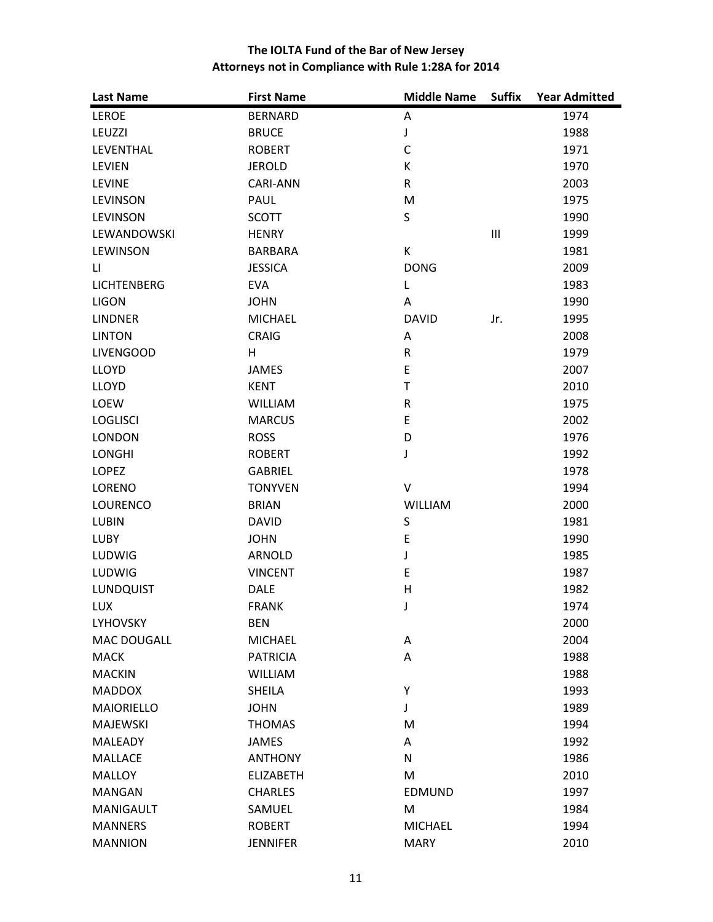| <b>Last Name</b>   | <b>First Name</b> | <b>Middle Name</b> | <b>Suffix</b>  | <b>Year Admitted</b> |
|--------------------|-------------------|--------------------|----------------|----------------------|
| <b>LEROE</b>       | <b>BERNARD</b>    | Α                  |                | 1974                 |
| LEUZZI             | <b>BRUCE</b>      | J                  |                | 1988                 |
| LEVENTHAL          | <b>ROBERT</b>     | $\mathsf{C}$       |                | 1971                 |
| <b>LEVIEN</b>      | <b>JEROLD</b>     | К                  |                | 1970                 |
| <b>LEVINE</b>      | <b>CARI-ANN</b>   | $\mathsf R$        |                | 2003                 |
| <b>LEVINSON</b>    | PAUL              | M                  |                | 1975                 |
| <b>LEVINSON</b>    | <b>SCOTT</b>      | $\mathsf S$        |                | 1990                 |
| LEWANDOWSKI        | <b>HENRY</b>      |                    | $\mathbf{III}$ | 1999                 |
| LEWINSON           | <b>BARBARA</b>    | К                  |                | 1981                 |
| LI                 | <b>JESSICA</b>    | <b>DONG</b>        |                | 2009                 |
| <b>LICHTENBERG</b> | <b>EVA</b>        | L                  |                | 1983                 |
| <b>LIGON</b>       | <b>JOHN</b>       | Α                  |                | 1990                 |
| <b>LINDNER</b>     | <b>MICHAEL</b>    | <b>DAVID</b>       | Jr.            | 1995                 |
| <b>LINTON</b>      | <b>CRAIG</b>      | Α                  |                | 2008                 |
| <b>LIVENGOOD</b>   | H                 | $\mathsf R$        |                | 1979                 |
| LLOYD              | <b>JAMES</b>      | $\mathsf E$        |                | 2007                 |
| LLOYD              | <b>KENT</b>       | $\mathsf T$        |                | 2010                 |
| LOEW               | <b>WILLIAM</b>    | ${\sf R}$          |                | 1975                 |
| <b>LOGLISCI</b>    | <b>MARCUS</b>     | $\mathsf E$        |                | 2002                 |
| <b>LONDON</b>      | <b>ROSS</b>       | D                  |                | 1976                 |
| <b>LONGHI</b>      | <b>ROBERT</b>     | J                  |                | 1992                 |
| LOPEZ              | <b>GABRIEL</b>    |                    |                | 1978                 |
| LORENO             | <b>TONYVEN</b>    | V                  |                | 1994                 |
| <b>LOURENCO</b>    | <b>BRIAN</b>      | WILLIAM            |                | 2000                 |
| <b>LUBIN</b>       | <b>DAVID</b>      | $\sf S$            |                | 1981                 |
| <b>LUBY</b>        | <b>JOHN</b>       | $\mathsf E$        |                | 1990                 |
| LUDWIG             | <b>ARNOLD</b>     | J                  |                | 1985                 |
| LUDWIG             | <b>VINCENT</b>    | $\mathsf E$        |                | 1987                 |
| LUNDQUIST          | <b>DALE</b>       | $\sf H$            |                | 1982                 |
| <b>LUX</b>         | <b>FRANK</b>      | J                  |                | 1974                 |
| <b>LYHOVSKY</b>    | <b>BEN</b>        |                    |                | 2000                 |
| MAC DOUGALL        | <b>MICHAEL</b>    | Α                  |                | 2004                 |
| <b>MACK</b>        | <b>PATRICIA</b>   | A                  |                | 1988                 |
| <b>MACKIN</b>      | <b>WILLIAM</b>    |                    |                | 1988                 |
| <b>MADDOX</b>      | <b>SHEILA</b>     | Υ                  |                | 1993                 |
| <b>MAIORIELLO</b>  | <b>JOHN</b>       | J                  |                | 1989                 |
| <b>MAJEWSKI</b>    | <b>THOMAS</b>     | M                  |                | 1994                 |
| <b>MALEADY</b>     | <b>JAMES</b>      | Α                  |                | 1992                 |
| <b>MALLACE</b>     | <b>ANTHONY</b>    | $\mathsf{N}$       |                | 1986                 |
| <b>MALLOY</b>      | <b>ELIZABETH</b>  | M                  |                | 2010                 |
| <b>MANGAN</b>      | <b>CHARLES</b>    | <b>EDMUND</b>      |                | 1997                 |
| <b>MANIGAULT</b>   | SAMUEL            | M                  |                | 1984                 |
| <b>MANNERS</b>     | <b>ROBERT</b>     | <b>MICHAEL</b>     |                | 1994                 |
| <b>MANNION</b>     | <b>JENNIFER</b>   | <b>MARY</b>        |                | 2010                 |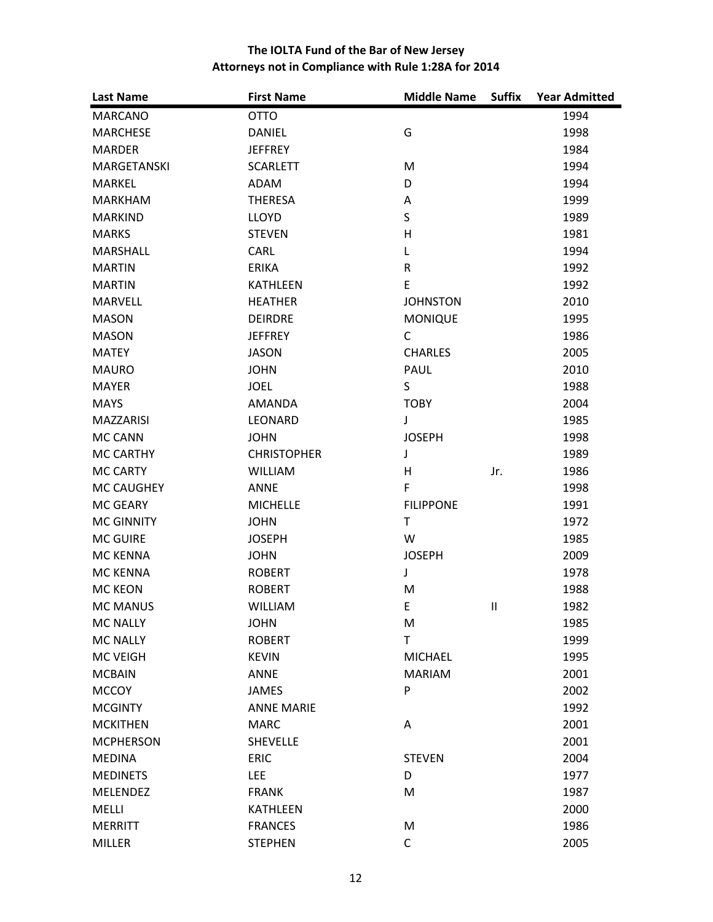| <b>Last Name</b>   | <b>First Name</b>  | <b>Middle Name</b> | <b>Suffix</b> | <b>Year Admitted</b> |
|--------------------|--------------------|--------------------|---------------|----------------------|
| <b>MARCANO</b>     | <b>OTTO</b>        |                    |               | 1994                 |
| <b>MARCHESE</b>    | <b>DANIEL</b>      | G                  |               | 1998                 |
| <b>MARDER</b>      | <b>JEFFREY</b>     |                    |               | 1984                 |
| <b>MARGETANSKI</b> | <b>SCARLETT</b>    | M                  |               | 1994                 |
| <b>MARKEL</b>      | ADAM               | D                  |               | 1994                 |
| <b>MARKHAM</b>     | <b>THERESA</b>     | Α                  |               | 1999                 |
| <b>MARKIND</b>     | <b>LLOYD</b>       | S                  |               | 1989                 |
| <b>MARKS</b>       | <b>STEVEN</b>      | H                  |               | 1981                 |
| MARSHALL           | CARL               | L                  |               | 1994                 |
| <b>MARTIN</b>      | <b>ERIKA</b>       | ${\sf R}$          |               | 1992                 |
| <b>MARTIN</b>      | <b>KATHLEEN</b>    | E                  |               | 1992                 |
| <b>MARVELL</b>     | <b>HEATHER</b>     | <b>JOHNSTON</b>    |               | 2010                 |
| <b>MASON</b>       | <b>DEIRDRE</b>     | <b>MONIQUE</b>     |               | 1995                 |
| <b>MASON</b>       | <b>JEFFREY</b>     | $\mathsf{C}$       |               | 1986                 |
| <b>MATEY</b>       | <b>JASON</b>       | <b>CHARLES</b>     |               | 2005                 |
| <b>MAURO</b>       | <b>JOHN</b>        | PAUL               |               | 2010                 |
| <b>MAYER</b>       | <b>JOEL</b>        | S                  |               | 1988                 |
| <b>MAYS</b>        | <b>AMANDA</b>      | <b>TOBY</b>        |               | 2004                 |
| <b>MAZZARISI</b>   | LEONARD            | J                  |               | 1985                 |
| <b>MC CANN</b>     | <b>JOHN</b>        | <b>JOSEPH</b>      |               | 1998                 |
| <b>MC CARTHY</b>   | <b>CHRISTOPHER</b> | J                  |               | 1989                 |
| <b>MC CARTY</b>    | <b>WILLIAM</b>     | H                  | Jr.           | 1986                 |
| MC CAUGHEY         | <b>ANNE</b>        | $\mathsf F$        |               | 1998                 |
| <b>MC GEARY</b>    | <b>MICHELLE</b>    | <b>FILIPPONE</b>   |               | 1991                 |
| <b>MC GINNITY</b>  | <b>JOHN</b>        | $\mathsf{T}$       |               | 1972                 |
| <b>MC GUIRE</b>    | <b>JOSEPH</b>      | W                  |               | 1985                 |
| <b>MC KENNA</b>    | <b>JOHN</b>        | <b>JOSEPH</b>      |               | 2009                 |
| <b>MC KENNA</b>    | <b>ROBERT</b>      | J                  |               | 1978                 |
| <b>MC KEON</b>     | <b>ROBERT</b>      | M                  |               | 1988                 |
| <b>MC MANUS</b>    | <b>WILLIAM</b>     | E                  | Ш             | 1982                 |
| <b>MC NALLY</b>    | <b>JOHN</b>        | M                  |               | 1985                 |
| <b>MC NALLY</b>    | <b>ROBERT</b>      | T                  |               | 1999                 |
| <b>MC VEIGH</b>    | <b>KEVIN</b>       | <b>MICHAEL</b>     |               | 1995                 |
| <b>MCBAIN</b>      | <b>ANNE</b>        | <b>MARIAM</b>      |               | 2001                 |
| <b>MCCOY</b>       | <b>JAMES</b>       | P                  |               | 2002                 |
| <b>MCGINTY</b>     | <b>ANNE MARIE</b>  |                    |               | 1992                 |
| <b>MCKITHEN</b>    | <b>MARC</b>        | Α                  |               | 2001                 |
| <b>MCPHERSON</b>   | <b>SHEVELLE</b>    |                    |               | 2001                 |
| <b>MEDINA</b>      | <b>ERIC</b>        | <b>STEVEN</b>      |               | 2004                 |
| <b>MEDINETS</b>    | <b>LEE</b>         | D                  |               | 1977                 |
| <b>MELENDEZ</b>    | <b>FRANK</b>       | M                  |               | 1987                 |
| MELLI              | KATHLEEN           |                    |               | 2000                 |
| <b>MERRITT</b>     | <b>FRANCES</b>     | M                  |               | 1986                 |
| <b>MILLER</b>      | <b>STEPHEN</b>     | $\mathsf C$        |               | 2005                 |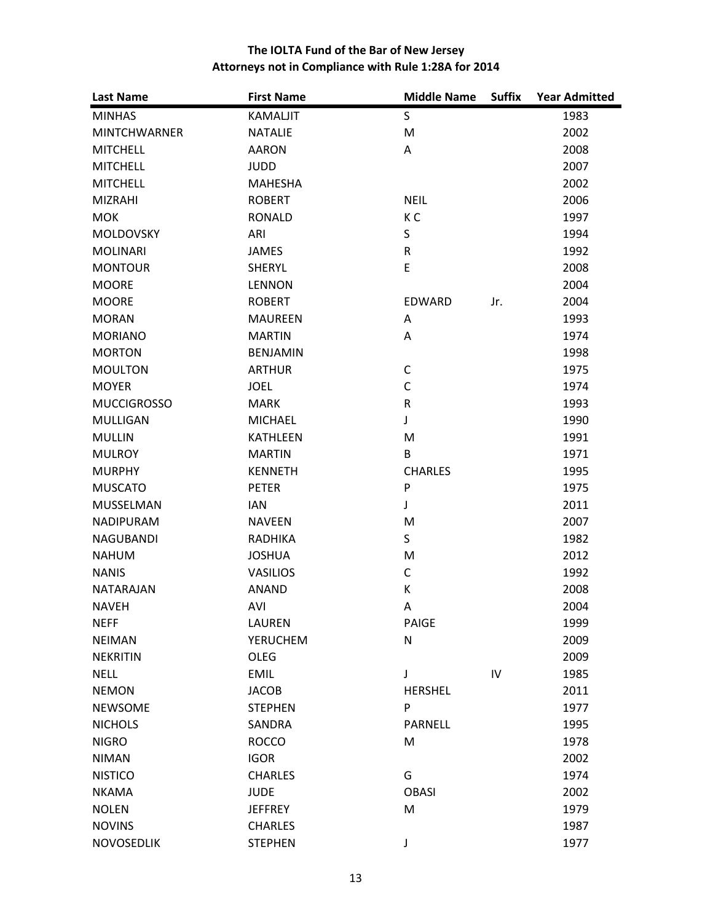| <b>Last Name</b>    | <b>First Name</b> | <b>Middle Name</b> | <b>Suffix</b> | <b>Year Admitted</b> |
|---------------------|-------------------|--------------------|---------------|----------------------|
| <b>MINHAS</b>       | <b>KAMALJIT</b>   | S                  |               | 1983                 |
| <b>MINTCHWARNER</b> | <b>NATALIE</b>    | M                  |               | 2002                 |
| <b>MITCHELL</b>     | <b>AARON</b>      | A                  |               | 2008                 |
| <b>MITCHELL</b>     | <b>JUDD</b>       |                    |               | 2007                 |
| <b>MITCHELL</b>     | <b>MAHESHA</b>    |                    |               | 2002                 |
| <b>MIZRAHI</b>      | <b>ROBERT</b>     | <b>NEIL</b>        |               | 2006                 |
| <b>MOK</b>          | <b>RONALD</b>     | K C                |               | 1997                 |
| MOLDOVSKY           | ARI               | $\sf S$            |               | 1994                 |
| <b>MOLINARI</b>     | <b>JAMES</b>      | ${\sf R}$          |               | 1992                 |
| <b>MONTOUR</b>      | <b>SHERYL</b>     | E                  |               | 2008                 |
| <b>MOORE</b>        | <b>LENNON</b>     |                    |               | 2004                 |
| <b>MOORE</b>        | <b>ROBERT</b>     | <b>EDWARD</b>      | Jr.           | 2004                 |
| <b>MORAN</b>        | <b>MAUREEN</b>    | Α                  |               | 1993                 |
| <b>MORIANO</b>      | <b>MARTIN</b>     | A                  |               | 1974                 |
| <b>MORTON</b>       | <b>BENJAMIN</b>   |                    |               | 1998                 |
| <b>MOULTON</b>      | <b>ARTHUR</b>     | C                  |               | 1975                 |
| <b>MOYER</b>        | <b>JOEL</b>       | $\mathsf{C}$       |               | 1974                 |
| <b>MUCCIGROSSO</b>  | <b>MARK</b>       | ${\sf R}$          |               | 1993                 |
| <b>MULLIGAN</b>     | <b>MICHAEL</b>    | J                  |               | 1990                 |
| <b>MULLIN</b>       | <b>KATHLEEN</b>   | M                  |               | 1991                 |
| <b>MULROY</b>       | <b>MARTIN</b>     | B                  |               | 1971                 |
| <b>MURPHY</b>       | <b>KENNETH</b>    | <b>CHARLES</b>     |               | 1995                 |
| <b>MUSCATO</b>      | <b>PETER</b>      | P                  |               | 1975                 |
| MUSSELMAN           | <b>IAN</b>        | J                  |               | 2011                 |
| NADIPURAM           | <b>NAVEEN</b>     | M                  |               | 2007                 |
| <b>NAGUBANDI</b>    | RADHIKA           | S                  |               | 1982                 |
| <b>NAHUM</b>        | <b>JOSHUA</b>     | M                  |               | 2012                 |
| <b>NANIS</b>        | <b>VASILIOS</b>   | $\mathsf C$        |               | 1992                 |
| <b>NATARAJAN</b>    | <b>ANAND</b>      | К                  |               | 2008                 |
| <b>NAVEH</b>        | AVI               | A                  |               | 2004                 |
| <b>NEFF</b>         | <b>LAUREN</b>     | PAIGE              |               | 1999                 |
| <b>NEIMAN</b>       | <b>YERUCHEM</b>   | N                  |               | 2009                 |
| <b>NEKRITIN</b>     | <b>OLEG</b>       |                    |               | 2009                 |
| <b>NELL</b>         | <b>EMIL</b>       | J                  | IV            | 1985                 |
| <b>NEMON</b>        | <b>JACOB</b>      | <b>HERSHEL</b>     |               | 2011                 |
| <b>NEWSOME</b>      | <b>STEPHEN</b>    | P                  |               | 1977                 |
| <b>NICHOLS</b>      | SANDRA            | <b>PARNELL</b>     |               | 1995                 |
| <b>NIGRO</b>        | <b>ROCCO</b>      | M                  |               | 1978                 |
| <b>NIMAN</b>        | <b>IGOR</b>       |                    |               | 2002                 |
| <b>NISTICO</b>      | <b>CHARLES</b>    | G                  |               | 1974                 |
| <b>NKAMA</b>        | <b>JUDE</b>       | <b>OBASI</b>       |               | 2002                 |
| <b>NOLEN</b>        | <b>JEFFREY</b>    | M                  |               | 1979                 |
| <b>NOVINS</b>       | <b>CHARLES</b>    |                    |               | 1987                 |
| NOVOSEDLIK          | <b>STEPHEN</b>    | J                  |               | 1977                 |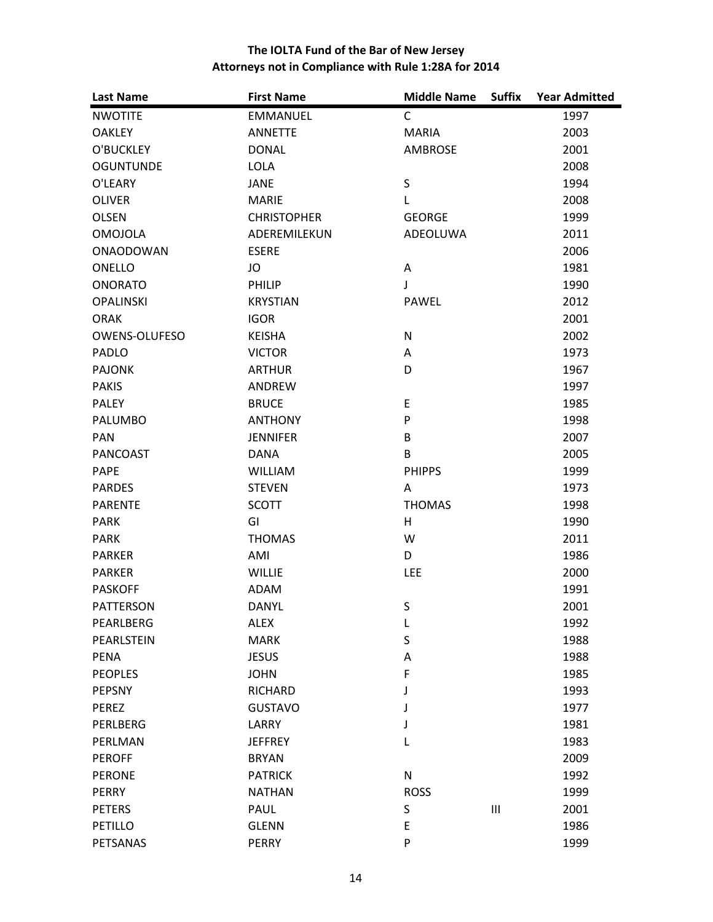| <b>Last Name</b>     | <b>First Name</b>  | <b>Middle Name</b> | <b>Suffix</b>  | <b>Year Admitted</b> |
|----------------------|--------------------|--------------------|----------------|----------------------|
| <b>NWOTITE</b>       | <b>EMMANUEL</b>    | C                  |                | 1997                 |
| <b>OAKLEY</b>        | <b>ANNETTE</b>     | <b>MARIA</b>       |                | 2003                 |
| O'BUCKLEY            | <b>DONAL</b>       | <b>AMBROSE</b>     |                | 2001                 |
| <b>OGUNTUNDE</b>     | <b>LOLA</b>        |                    |                | 2008                 |
| O'LEARY              | <b>JANE</b>        | $\sf S$            |                | 1994                 |
| <b>OLIVER</b>        | <b>MARIE</b>       | L                  |                | 2008                 |
| <b>OLSEN</b>         | <b>CHRISTOPHER</b> | <b>GEORGE</b>      |                | 1999                 |
| <b>OMOJOLA</b>       | ADEREMILEKUN       | ADEOLUWA           |                | 2011                 |
| <b>ONAODOWAN</b>     | <b>ESERE</b>       |                    |                | 2006                 |
| ONELLO               | JO                 | Α                  |                | 1981                 |
| <b>ONORATO</b>       | PHILIP             | J                  |                | 1990                 |
| <b>OPALINSKI</b>     | <b>KRYSTIAN</b>    | PAWEL              |                | 2012                 |
| <b>ORAK</b>          | <b>IGOR</b>        |                    |                | 2001                 |
| <b>OWENS-OLUFESO</b> | <b>KEISHA</b>      | N                  |                | 2002                 |
| PADLO                | <b>VICTOR</b>      | Α                  |                | 1973                 |
| <b>PAJONK</b>        | <b>ARTHUR</b>      | D                  |                | 1967                 |
| <b>PAKIS</b>         | <b>ANDREW</b>      |                    |                | 1997                 |
| <b>PALEY</b>         | <b>BRUCE</b>       | E                  |                | 1985                 |
| <b>PALUMBO</b>       | <b>ANTHONY</b>     | ${\sf P}$          |                | 1998                 |
| PAN                  | <b>JENNIFER</b>    | B                  |                | 2007                 |
| PANCOAST             | <b>DANA</b>        | B                  |                | 2005                 |
| PAPE                 | <b>WILLIAM</b>     | <b>PHIPPS</b>      |                | 1999                 |
| <b>PARDES</b>        | <b>STEVEN</b>      | A                  |                | 1973                 |
| <b>PARENTE</b>       | <b>SCOTT</b>       | <b>THOMAS</b>      |                | 1998                 |
| <b>PARK</b>          | GI                 | H                  |                | 1990                 |
| <b>PARK</b>          | <b>THOMAS</b>      | W                  |                | 2011                 |
| <b>PARKER</b>        | AMI                | D                  |                | 1986                 |
| <b>PARKER</b>        | <b>WILLIE</b>      | <b>LEE</b>         |                | 2000                 |
| <b>PASKOFF</b>       | <b>ADAM</b>        |                    |                | 1991                 |
| <b>PATTERSON</b>     | <b>DANYL</b>       | S                  |                | 2001                 |
| PEARLBERG            | <b>ALEX</b>        | L                  |                | 1992                 |
| PEARLSTEIN           | <b>MARK</b>        | S                  |                | 1988                 |
| PENA                 | <b>JESUS</b>       | А                  |                | 1988                 |
| <b>PEOPLES</b>       | <b>JOHN</b>        | F                  |                | 1985                 |
| <b>PEPSNY</b>        | <b>RICHARD</b>     | J                  |                | 1993                 |
| PEREZ                | <b>GUSTAVO</b>     | J                  |                | 1977                 |
| <b>PERLBERG</b>      | LARRY              | J                  |                | 1981                 |
| PERLMAN              | <b>JEFFREY</b>     | L                  |                | 1983                 |
| <b>PEROFF</b>        | <b>BRYAN</b>       |                    |                | 2009                 |
| <b>PERONE</b>        | <b>PATRICK</b>     | N                  |                | 1992                 |
| PERRY                | <b>NATHAN</b>      | <b>ROSS</b>        |                | 1999                 |
| <b>PETERS</b>        | PAUL               | S                  | $\mathbf{III}$ | 2001                 |
| <b>PETILLO</b>       | <b>GLENN</b>       | E                  |                | 1986                 |
| PETSANAS             | <b>PERRY</b>       | P                  |                | 1999                 |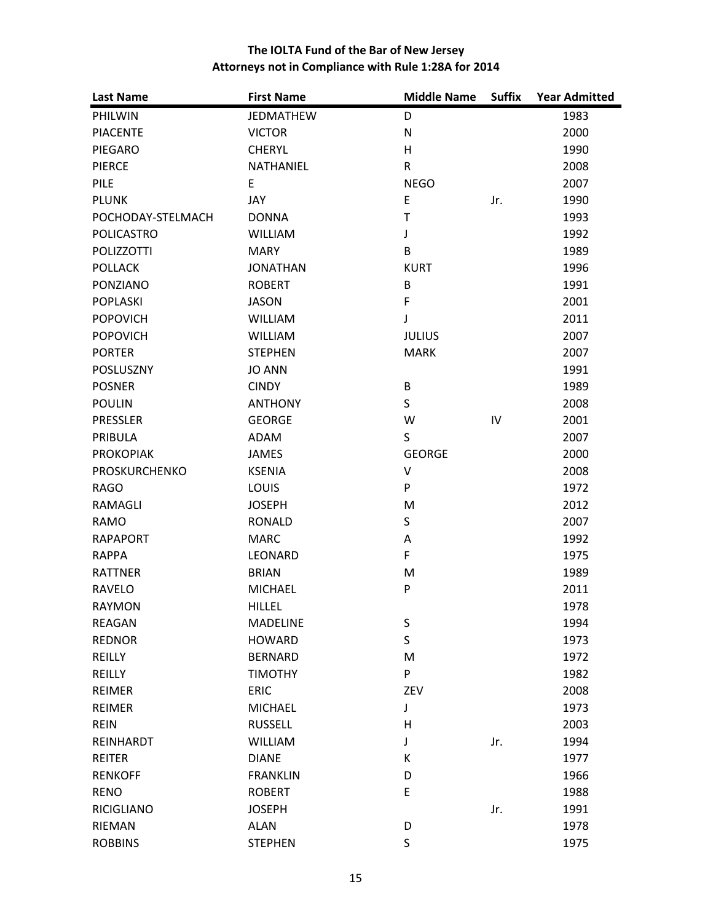| <b>Last Name</b>     | <b>First Name</b> | <b>Middle Name</b> | <b>Suffix</b> | <b>Year Admitted</b> |
|----------------------|-------------------|--------------------|---------------|----------------------|
| PHILWIN              | <b>JEDMATHEW</b>  | D                  |               | 1983                 |
| <b>PIACENTE</b>      | <b>VICTOR</b>     | ${\sf N}$          |               | 2000                 |
| PIEGARO              | <b>CHERYL</b>     | H                  |               | 1990                 |
| <b>PIERCE</b>        | <b>NATHANIEL</b>  | $\mathsf{R}$       |               | 2008                 |
| <b>PILE</b>          | E                 | <b>NEGO</b>        |               | 2007                 |
| <b>PLUNK</b>         | JAY               | $\mathsf E$        | Jr.           | 1990                 |
| POCHODAY-STELMACH    | <b>DONNA</b>      | $\mathsf T$        |               | 1993                 |
| <b>POLICASTRO</b>    | <b>WILLIAM</b>    | J                  |               | 1992                 |
| <b>POLIZZOTTI</b>    | <b>MARY</b>       | B                  |               | 1989                 |
| <b>POLLACK</b>       | <b>JONATHAN</b>   | <b>KURT</b>        |               | 1996                 |
| PONZIANO             | <b>ROBERT</b>     | B                  |               | 1991                 |
| <b>POPLASKI</b>      | <b>JASON</b>      | $\mathsf F$        |               | 2001                 |
| <b>POPOVICH</b>      | <b>WILLIAM</b>    | J                  |               | 2011                 |
| <b>POPOVICH</b>      | <b>WILLIAM</b>    | <b>JULIUS</b>      |               | 2007                 |
| <b>PORTER</b>        | <b>STEPHEN</b>    | <b>MARK</b>        |               | 2007                 |
| POSLUSZNY            | <b>JO ANN</b>     |                    |               | 1991                 |
| <b>POSNER</b>        | <b>CINDY</b>      | B                  |               | 1989                 |
| <b>POULIN</b>        | <b>ANTHONY</b>    | S                  |               | 2008                 |
| <b>PRESSLER</b>      | <b>GEORGE</b>     | W                  | IV            | 2001                 |
| PRIBULA              | ADAM              | S                  |               | 2007                 |
| <b>PROKOPIAK</b>     | <b>JAMES</b>      | <b>GEORGE</b>      |               | 2000                 |
| <b>PROSKURCHENKO</b> | <b>KSENIA</b>     | V                  |               | 2008                 |
| <b>RAGO</b>          | LOUIS             | ${\sf P}$          |               | 1972                 |
| RAMAGLI              | <b>JOSEPH</b>     | M                  |               | 2012                 |
| RAMO                 | <b>RONALD</b>     | S                  |               | 2007                 |
| <b>RAPAPORT</b>      | <b>MARC</b>       | Α                  |               | 1992                 |
| <b>RAPPA</b>         | LEONARD           | F                  |               | 1975                 |
| <b>RATTNER</b>       | <b>BRIAN</b>      | M                  |               | 1989                 |
| <b>RAVELO</b>        | <b>MICHAEL</b>    | ${\sf P}$          |               | 2011                 |
| <b>RAYMON</b>        | <b>HILLEL</b>     |                    |               | 1978                 |
| <b>REAGAN</b>        | <b>MADELINE</b>   | S                  |               | 1994                 |
| <b>REDNOR</b>        | <b>HOWARD</b>     | $\sf S$            |               | 1973                 |
| REILLY               | <b>BERNARD</b>    | M                  |               | 1972                 |
| REILLY               | <b>TIMOTHY</b>    | P                  |               | 1982                 |
| <b>REIMER</b>        | <b>ERIC</b>       | ZEV                |               | 2008                 |
| <b>REIMER</b>        | <b>MICHAEL</b>    | J                  |               | 1973                 |
| <b>REIN</b>          | <b>RUSSELL</b>    | н                  |               | 2003                 |
| REINHARDT            | <b>WILLIAM</b>    | J                  | Jr.           | 1994                 |
| <b>REITER</b>        | <b>DIANE</b>      | К                  |               | 1977                 |
| <b>RENKOFF</b>       | <b>FRANKLIN</b>   | D                  |               | 1966                 |
| <b>RENO</b>          | <b>ROBERT</b>     | E                  |               | 1988                 |
| <b>RICIGLIANO</b>    | <b>JOSEPH</b>     |                    | Jr.           | 1991                 |
| RIEMAN               | <b>ALAN</b>       | D                  |               | 1978                 |
| <b>ROBBINS</b>       | <b>STEPHEN</b>    | $\sf S$            |               | 1975                 |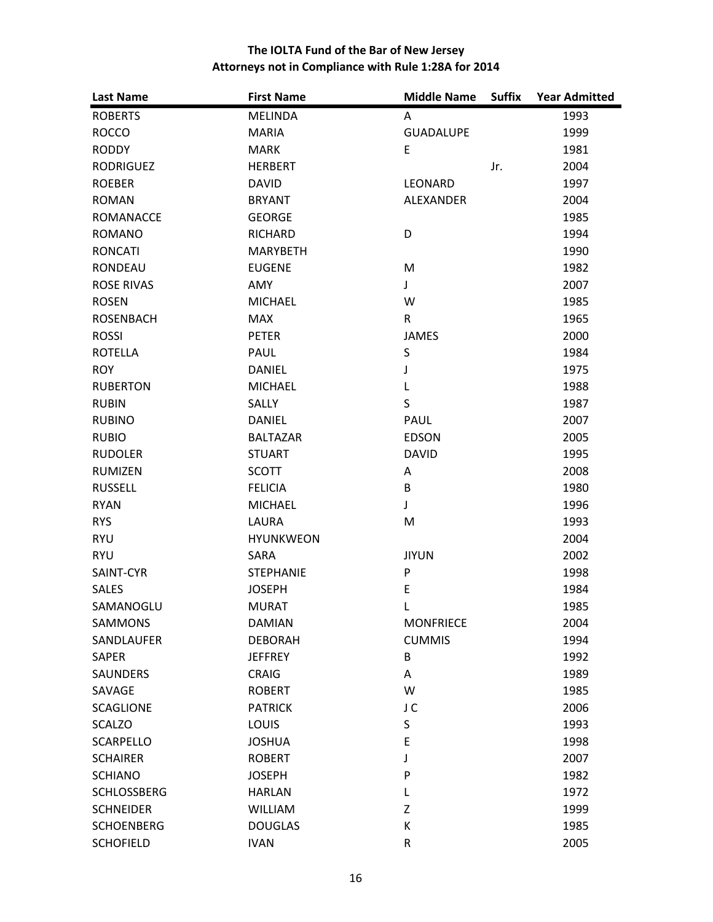| <b>Last Name</b>   | <b>First Name</b> | <b>Middle Name</b> | <b>Suffix</b> | <b>Year Admitted</b> |
|--------------------|-------------------|--------------------|---------------|----------------------|
| <b>ROBERTS</b>     | <b>MELINDA</b>    | A                  |               | 1993                 |
| <b>ROCCO</b>       | <b>MARIA</b>      | <b>GUADALUPE</b>   |               | 1999                 |
| <b>RODDY</b>       | <b>MARK</b>       | E                  |               | 1981                 |
| <b>RODRIGUEZ</b>   | <b>HERBERT</b>    |                    | Jr.           | 2004                 |
| <b>ROEBER</b>      | <b>DAVID</b>      | LEONARD            |               | 1997                 |
| <b>ROMAN</b>       | <b>BRYANT</b>     | <b>ALEXANDER</b>   |               | 2004                 |
| <b>ROMANACCE</b>   | <b>GEORGE</b>     |                    |               | 1985                 |
| <b>ROMANO</b>      | <b>RICHARD</b>    | D                  |               | 1994                 |
| <b>RONCATI</b>     | <b>MARYBETH</b>   |                    |               | 1990                 |
| <b>RONDEAU</b>     | <b>EUGENE</b>     | M                  |               | 1982                 |
| <b>ROSE RIVAS</b>  | AMY               | J                  |               | 2007                 |
| <b>ROSEN</b>       | <b>MICHAEL</b>    | W                  |               | 1985                 |
| <b>ROSENBACH</b>   | <b>MAX</b>        | $\mathsf{R}$       |               | 1965                 |
| <b>ROSSI</b>       | <b>PETER</b>      | <b>JAMES</b>       |               | 2000                 |
| <b>ROTELLA</b>     | PAUL              | $\sf S$            |               | 1984                 |
| <b>ROY</b>         | <b>DANIEL</b>     | J                  |               | 1975                 |
| <b>RUBERTON</b>    | <b>MICHAEL</b>    | L                  |               | 1988                 |
| <b>RUBIN</b>       | <b>SALLY</b>      | $\sf S$            |               | 1987                 |
| <b>RUBINO</b>      | <b>DANIEL</b>     | <b>PAUL</b>        |               | 2007                 |
| <b>RUBIO</b>       | <b>BALTAZAR</b>   | <b>EDSON</b>       |               | 2005                 |
| <b>RUDOLER</b>     | <b>STUART</b>     | <b>DAVID</b>       |               | 1995                 |
| <b>RUMIZEN</b>     | <b>SCOTT</b>      | Α                  |               | 2008                 |
| <b>RUSSELL</b>     | <b>FELICIA</b>    | B                  |               | 1980                 |
| <b>RYAN</b>        | <b>MICHAEL</b>    | J                  |               | 1996                 |
| <b>RYS</b>         | LAURA             | M                  |               | 1993                 |
| <b>RYU</b>         | <b>HYUNKWEON</b>  |                    |               | 2004                 |
| <b>RYU</b>         | SARA              | <b>JIYUN</b>       |               | 2002                 |
| SAINT-CYR          | <b>STEPHANIE</b>  | ${\sf P}$          |               | 1998                 |
| <b>SALES</b>       | <b>JOSEPH</b>     | E                  |               | 1984                 |
| SAMANOGLU          | <b>MURAT</b>      | Г                  |               | 1985                 |
| SAMMONS            | <b>DAMIAN</b>     | <b>MONFRIECE</b>   |               | 2004                 |
| SANDLAUFER         | <b>DEBORAH</b>    | <b>CUMMIS</b>      |               | 1994                 |
| <b>SAPER</b>       | <b>JEFFREY</b>    | B                  |               | 1992                 |
| <b>SAUNDERS</b>    | <b>CRAIG</b>      | А                  |               | 1989                 |
| SAVAGE             | <b>ROBERT</b>     | W                  |               | 1985                 |
| <b>SCAGLIONE</b>   | <b>PATRICK</b>    | J C                |               | 2006                 |
| <b>SCALZO</b>      | <b>LOUIS</b>      | S                  |               | 1993                 |
| <b>SCARPELLO</b>   | <b>JOSHUA</b>     | E                  |               | 1998                 |
| <b>SCHAIRER</b>    | <b>ROBERT</b>     | J                  |               | 2007                 |
| <b>SCHIANO</b>     | <b>JOSEPH</b>     | P                  |               | 1982                 |
| <b>SCHLOSSBERG</b> | <b>HARLAN</b>     | L                  |               | 1972                 |
| <b>SCHNEIDER</b>   | <b>WILLIAM</b>    | Z                  |               | 1999                 |
| <b>SCHOENBERG</b>  | <b>DOUGLAS</b>    | К                  |               | 1985                 |
| <b>SCHOFIELD</b>   | <b>IVAN</b>       | R                  |               | 2005                 |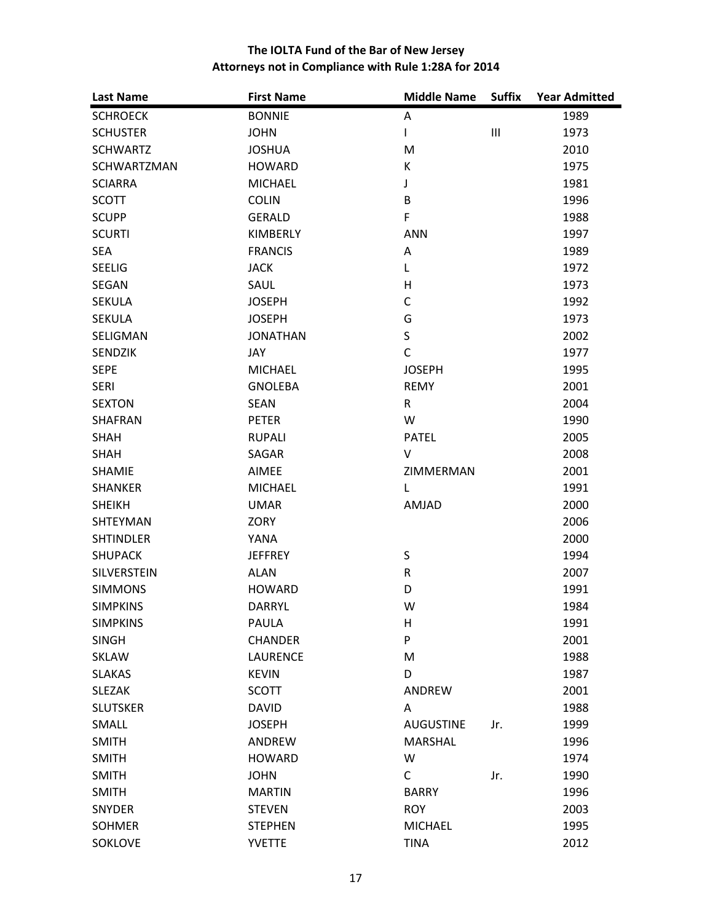| <b>Last Name</b>   | <b>First Name</b> | <b>Middle Name</b> | <b>Suffix</b>  | <b>Year Admitted</b> |
|--------------------|-------------------|--------------------|----------------|----------------------|
| <b>SCHROECK</b>    | <b>BONNIE</b>     | Α                  |                | 1989                 |
| <b>SCHUSTER</b>    | <b>JOHN</b>       | L                  | $\mathbf{III}$ | 1973                 |
| <b>SCHWARTZ</b>    | <b>JOSHUA</b>     | M                  |                | 2010                 |
| SCHWARTZMAN        | <b>HOWARD</b>     | K                  |                | 1975                 |
| <b>SCIARRA</b>     | <b>MICHAEL</b>    | J                  |                | 1981                 |
| <b>SCOTT</b>       | <b>COLIN</b>      | B                  |                | 1996                 |
| <b>SCUPP</b>       | <b>GERALD</b>     | $\mathsf F$        |                | 1988                 |
| <b>SCURTI</b>      | KIMBERLY          | <b>ANN</b>         |                | 1997                 |
| <b>SEA</b>         | <b>FRANCIS</b>    | Α                  |                | 1989                 |
| <b>SEELIG</b>      | <b>JACK</b>       | L                  |                | 1972                 |
| SEGAN              | SAUL              | H                  |                | 1973                 |
| <b>SEKULA</b>      | <b>JOSEPH</b>     | C                  |                | 1992                 |
| <b>SEKULA</b>      | <b>JOSEPH</b>     | G                  |                | 1973                 |
| SELIGMAN           | <b>JONATHAN</b>   | $\sf S$            |                | 2002                 |
| <b>SENDZIK</b>     | JAY               | $\mathsf{C}$       |                | 1977                 |
| <b>SEPE</b>        | <b>MICHAEL</b>    | <b>JOSEPH</b>      |                | 1995                 |
| <b>SERI</b>        | <b>GNOLEBA</b>    | <b>REMY</b>        |                | 2001                 |
| <b>SEXTON</b>      | <b>SEAN</b>       | $\mathsf{R}$       |                | 2004                 |
| <b>SHAFRAN</b>     | <b>PETER</b>      | W                  |                | 1990                 |
| SHAH               | <b>RUPALI</b>     | <b>PATEL</b>       |                | 2005                 |
| <b>SHAH</b>        | SAGAR             | V                  |                | 2008                 |
| <b>SHAMIE</b>      | AIMEE             | ZIMMERMAN          |                | 2001                 |
| <b>SHANKER</b>     | <b>MICHAEL</b>    | L                  |                | 1991                 |
| <b>SHEIKH</b>      | <b>UMAR</b>       | AMJAD              |                | 2000                 |
| <b>SHTEYMAN</b>    | <b>ZORY</b>       |                    |                | 2006                 |
| <b>SHTINDLER</b>   | YANA              |                    |                | 2000                 |
| <b>SHUPACK</b>     | <b>JEFFREY</b>    | S                  |                | 1994                 |
| <b>SILVERSTEIN</b> | <b>ALAN</b>       | $\mathsf{R}$       |                | 2007                 |
| <b>SIMMONS</b>     | <b>HOWARD</b>     | D                  |                | 1991                 |
| <b>SIMPKINS</b>    | <b>DARRYL</b>     | W                  |                | 1984                 |
| <b>SIMPKINS</b>    | <b>PAULA</b>      | H                  |                | 1991                 |
| <b>SINGH</b>       | <b>CHANDER</b>    | ${\sf P}$          |                | 2001                 |
| <b>SKLAW</b>       | <b>LAURENCE</b>   | M                  |                | 1988                 |
| <b>SLAKAS</b>      | <b>KEVIN</b>      | D                  |                | 1987                 |
| <b>SLEZAK</b>      | <b>SCOTT</b>      | ANDREW             |                | 2001                 |
| <b>SLUTSKER</b>    | <b>DAVID</b>      | Α                  |                | 1988                 |
| SMALL              | <b>JOSEPH</b>     | <b>AUGUSTINE</b>   | Jr.            | 1999                 |
| <b>SMITH</b>       | ANDREW            | <b>MARSHAL</b>     |                | 1996                 |
| <b>SMITH</b>       | <b>HOWARD</b>     | W                  |                | 1974                 |
| <b>SMITH</b>       | <b>JOHN</b>       | $\mathsf{C}$       | Jr.            | 1990                 |
| <b>SMITH</b>       | <b>MARTIN</b>     | <b>BARRY</b>       |                | 1996                 |
| SNYDER             | <b>STEVEN</b>     | <b>ROY</b>         |                | 2003                 |
| <b>SOHMER</b>      | <b>STEPHEN</b>    | <b>MICHAEL</b>     |                | 1995                 |
| SOKLOVE            | <b>YVETTE</b>     | <b>TINA</b>        |                | 2012                 |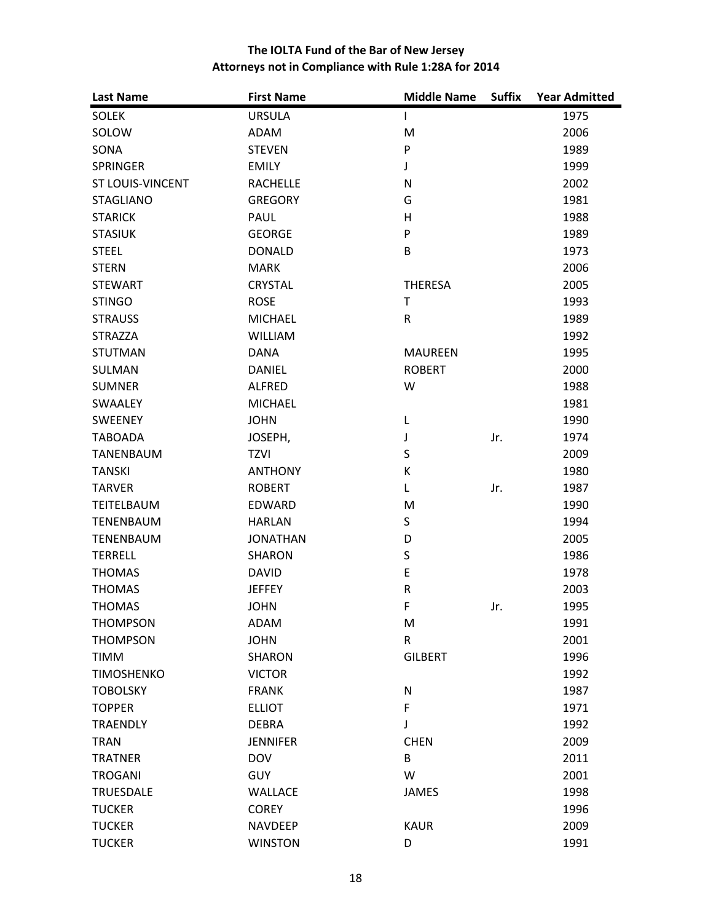| <b>Last Name</b>        | <b>First Name</b> | <b>Middle Name</b> | <b>Suffix</b> | <b>Year Admitted</b> |
|-------------------------|-------------------|--------------------|---------------|----------------------|
| <b>SOLEK</b>            | <b>URSULA</b>     | L                  |               | 1975                 |
| SOLOW                   | <b>ADAM</b>       | M                  |               | 2006                 |
| SONA                    | <b>STEVEN</b>     | ${\sf P}$          |               | 1989                 |
| <b>SPRINGER</b>         | <b>EMILY</b>      | J                  |               | 1999                 |
| <b>ST LOUIS-VINCENT</b> | <b>RACHELLE</b>   | $\mathsf{N}$       |               | 2002                 |
| <b>STAGLIANO</b>        | <b>GREGORY</b>    | G                  |               | 1981                 |
| <b>STARICK</b>          | PAUL              | H                  |               | 1988                 |
| <b>STASIUK</b>          | <b>GEORGE</b>     | $\mathsf{P}$       |               | 1989                 |
| <b>STEEL</b>            | <b>DONALD</b>     | B                  |               | 1973                 |
| <b>STERN</b>            | <b>MARK</b>       |                    |               | 2006                 |
| <b>STEWART</b>          | <b>CRYSTAL</b>    | <b>THERESA</b>     |               | 2005                 |
| <b>STINGO</b>           | <b>ROSE</b>       | Τ                  |               | 1993                 |
| <b>STRAUSS</b>          | <b>MICHAEL</b>    | $\mathsf R$        |               | 1989                 |
| <b>STRAZZA</b>          | <b>WILLIAM</b>    |                    |               | 1992                 |
| <b>STUTMAN</b>          | <b>DANA</b>       | <b>MAUREEN</b>     |               | 1995                 |
| SULMAN                  | <b>DANIEL</b>     | <b>ROBERT</b>      |               | 2000                 |
| <b>SUMNER</b>           | <b>ALFRED</b>     | W                  |               | 1988                 |
| <b>SWAALEY</b>          | <b>MICHAEL</b>    |                    |               | 1981                 |
| SWEENEY                 | <b>JOHN</b>       | L                  |               | 1990                 |
| <b>TABOADA</b>          | JOSEPH,           | J                  | Jr.           | 1974                 |
| <b>TANENBAUM</b>        | <b>TZVI</b>       | $\sf S$            |               | 2009                 |
| <b>TANSKI</b>           | <b>ANTHONY</b>    | К                  |               | 1980                 |
| <b>TARVER</b>           | <b>ROBERT</b>     | L                  | Jr.           | 1987                 |
| TEITELBAUM              | <b>EDWARD</b>     | M                  |               | 1990                 |
| <b>TENENBAUM</b>        | <b>HARLAN</b>     | S                  |               | 1994                 |
| <b>TENENBAUM</b>        | <b>JONATHAN</b>   | D                  |               | 2005                 |
| <b>TERRELL</b>          | <b>SHARON</b>     | $\sf S$            |               | 1986                 |
| <b>THOMAS</b>           | <b>DAVID</b>      | $\mathsf E$        |               | 1978                 |
| <b>THOMAS</b>           | <b>JEFFEY</b>     | ${\sf R}$          |               | 2003                 |
| <b>THOMAS</b>           | <b>JOHN</b>       | $\mathsf F$        | Jr.           | 1995                 |
| <b>THOMPSON</b>         | ADAM              | M                  |               | 1991                 |
| <b>THOMPSON</b>         | <b>JOHN</b>       | ${\sf R}$          |               | 2001                 |
| TIMM                    | <b>SHARON</b>     | <b>GILBERT</b>     |               | 1996                 |
| <b>TIMOSHENKO</b>       | <b>VICTOR</b>     |                    |               | 1992                 |
| <b>TOBOLSKY</b>         | <b>FRANK</b>      | $\mathsf{N}$       |               | 1987                 |
| <b>TOPPER</b>           | <b>ELLIOT</b>     | $\mathsf F$        |               | 1971                 |
| <b>TRAENDLY</b>         | <b>DEBRA</b>      | J                  |               | 1992                 |
| <b>TRAN</b>             | <b>JENNIFER</b>   | <b>CHEN</b>        |               | 2009                 |
| <b>TRATNER</b>          | <b>DOV</b>        | B                  |               | 2011                 |
| <b>TROGANI</b>          | <b>GUY</b>        | W                  |               | 2001                 |
| <b>TRUESDALE</b>        | <b>WALLACE</b>    | <b>JAMES</b>       |               | 1998                 |
| <b>TUCKER</b>           | <b>COREY</b>      |                    |               | 1996                 |
| <b>TUCKER</b>           | <b>NAVDEEP</b>    | <b>KAUR</b>        |               | 2009                 |
| <b>TUCKER</b>           | <b>WINSTON</b>    | D                  |               | 1991                 |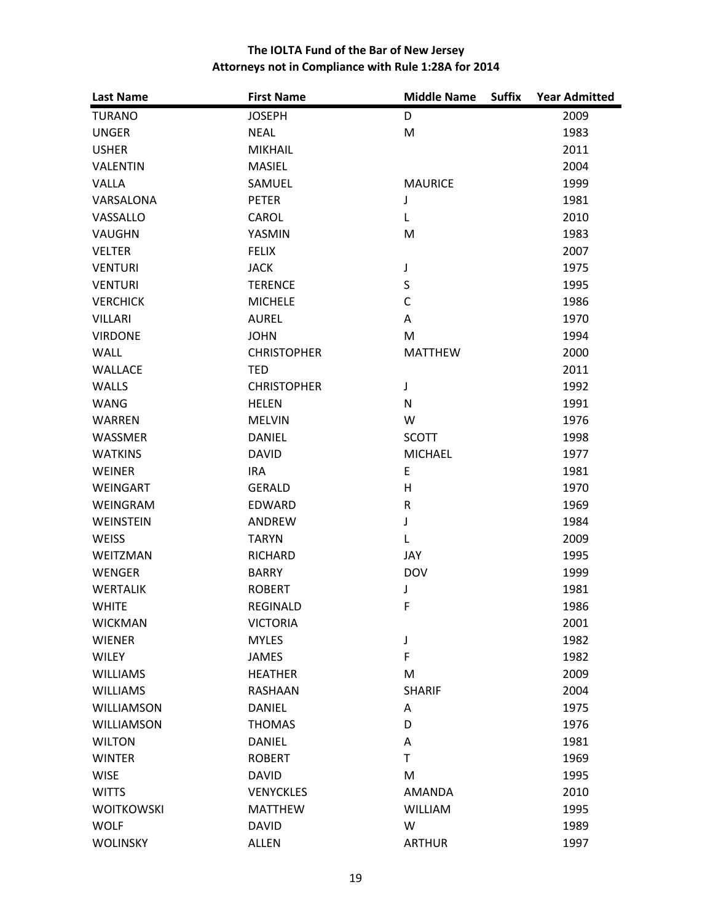| <b>Last Name</b>  | <b>First Name</b>  | <b>Middle Name</b><br><b>Suffix</b> | <b>Year Admitted</b> |
|-------------------|--------------------|-------------------------------------|----------------------|
| <b>TURANO</b>     | <b>JOSEPH</b>      | D                                   | 2009                 |
| <b>UNGER</b>      | <b>NEAL</b>        | M                                   | 1983                 |
| <b>USHER</b>      | <b>MIKHAIL</b>     |                                     | 2011                 |
| <b>VALENTIN</b>   | <b>MASIEL</b>      |                                     | 2004                 |
| VALLA             | SAMUEL             | <b>MAURICE</b>                      | 1999                 |
| VARSALONA         | <b>PETER</b>       | J                                   | 1981                 |
| VASSALLO          | CAROL              | L                                   | 2010                 |
| VAUGHN            | YASMIN             | M                                   | 1983                 |
| <b>VELTER</b>     | <b>FELIX</b>       |                                     | 2007                 |
| <b>VENTURI</b>    | <b>JACK</b>        | J                                   | 1975                 |
| <b>VENTURI</b>    | <b>TERENCE</b>     | $\sf S$                             | 1995                 |
| <b>VERCHICK</b>   | <b>MICHELE</b>     | $\mathsf{C}$                        | 1986                 |
| <b>VILLARI</b>    | <b>AUREL</b>       | Α                                   | 1970                 |
| <b>VIRDONE</b>    | <b>JOHN</b>        | M                                   | 1994                 |
| <b>WALL</b>       | <b>CHRISTOPHER</b> | <b>MATTHEW</b>                      | 2000                 |
| WALLACE           | <b>TED</b>         |                                     | 2011                 |
| <b>WALLS</b>      | <b>CHRISTOPHER</b> | J                                   | 1992                 |
| <b>WANG</b>       | <b>HELEN</b>       | ${\sf N}$                           | 1991                 |
| WARREN            | <b>MELVIN</b>      | W                                   | 1976                 |
| WASSMER           | <b>DANIEL</b>      | <b>SCOTT</b>                        | 1998                 |
| <b>WATKINS</b>    | <b>DAVID</b>       | <b>MICHAEL</b>                      | 1977                 |
| WEINER            | <b>IRA</b>         | E                                   | 1981                 |
| WEINGART          | <b>GERALD</b>      | H                                   | 1970                 |
| WEINGRAM          | EDWARD             | ${\sf R}$                           | 1969                 |
| WEINSTEIN         | ANDREW             | J                                   | 1984                 |
| <b>WEISS</b>      | <b>TARYN</b>       | Г                                   | 2009                 |
| <b>WEITZMAN</b>   | <b>RICHARD</b>     | JAY                                 | 1995                 |
| WENGER            | <b>BARRY</b>       | <b>DOV</b>                          | 1999                 |
| <b>WERTALIK</b>   | <b>ROBERT</b>      | J                                   | 1981                 |
| <b>WHITE</b>      | <b>REGINALD</b>    | $\mathsf F$                         | 1986                 |
| <b>WICKMAN</b>    | <b>VICTORIA</b>    |                                     | 2001                 |
| <b>WIENER</b>     | <b>MYLES</b>       | J                                   | 1982                 |
| <b>WILEY</b>      | JAMES              | $\mathsf F$                         | 1982                 |
| <b>WILLIAMS</b>   | <b>HEATHER</b>     | M                                   | 2009                 |
| <b>WILLIAMS</b>   | <b>RASHAAN</b>     | <b>SHARIF</b>                       | 2004                 |
| <b>WILLIAMSON</b> | <b>DANIEL</b>      | Α                                   | 1975                 |
| <b>WILLIAMSON</b> | <b>THOMAS</b>      | D                                   | 1976                 |
| <b>WILTON</b>     | <b>DANIEL</b>      | Α                                   | 1981                 |
| <b>WINTER</b>     | <b>ROBERT</b>      | $\mathsf T$                         | 1969                 |
| <b>WISE</b>       | <b>DAVID</b>       | M                                   | 1995                 |
| <b>WITTS</b>      | <b>VENYCKLES</b>   | <b>AMANDA</b>                       | 2010                 |
| <b>WOITKOWSKI</b> | <b>MATTHEW</b>     | <b>WILLIAM</b>                      | 1995                 |
| <b>WOLF</b>       | <b>DAVID</b>       | W                                   | 1989                 |
| <b>WOLINSKY</b>   | <b>ALLEN</b>       | <b>ARTHUR</b>                       | 1997                 |